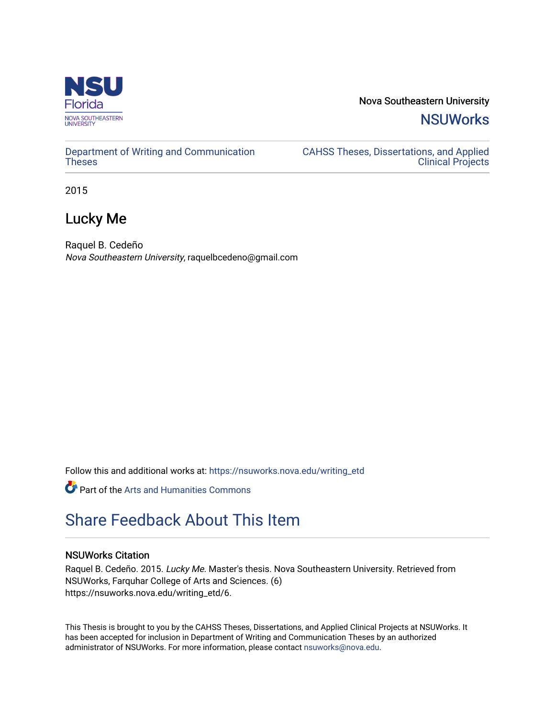

Nova Southeastern University **NSUWorks** 

[Department of Writing and Communication](https://nsuworks.nova.edu/writing_etd)  **Theses** 

[CAHSS Theses, Dissertations, and Applied](https://nsuworks.nova.edu/cahss_etd)  [Clinical Projects](https://nsuworks.nova.edu/cahss_etd) 

2015

# Lucky Me

Raquel B. Cedeño Nova Southeastern University, raquelbcedeno@gmail.com

Follow this and additional works at: [https://nsuworks.nova.edu/writing\\_etd](https://nsuworks.nova.edu/writing_etd?utm_source=nsuworks.nova.edu%2Fwriting_etd%2F6&utm_medium=PDF&utm_campaign=PDFCoverPages)

Part of the [Arts and Humanities Commons](http://network.bepress.com/hgg/discipline/438?utm_source=nsuworks.nova.edu%2Fwriting_etd%2F6&utm_medium=PDF&utm_campaign=PDFCoverPages) 

# [Share Feedback About This Item](http://nsuworks.nova.edu/user_survey.html)

## NSUWorks Citation

Raquel B. Cedeño. 2015. Lucky Me. Master's thesis. Nova Southeastern University. Retrieved from NSUWorks, Farquhar College of Arts and Sciences. (6) https://nsuworks.nova.edu/writing\_etd/6.

This Thesis is brought to you by the CAHSS Theses, Dissertations, and Applied Clinical Projects at NSUWorks. It has been accepted for inclusion in Department of Writing and Communication Theses by an authorized administrator of NSUWorks. For more information, please contact [nsuworks@nova.edu.](mailto:nsuworks@nova.edu)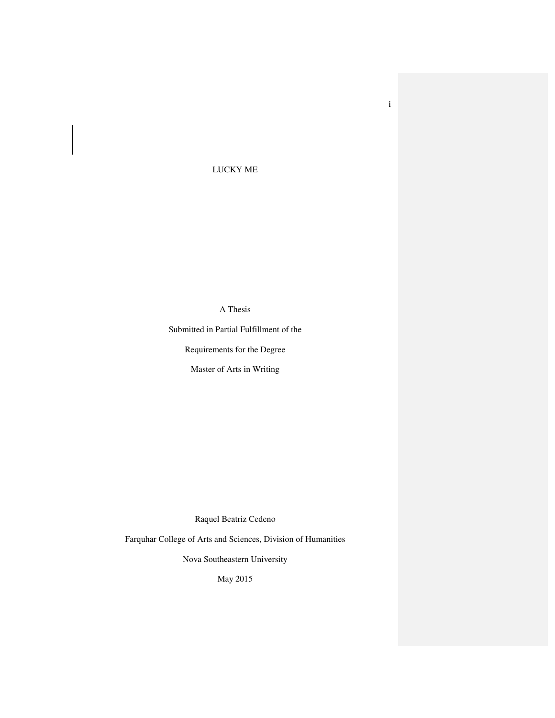LUCKY ME

A Thesis

Submitted in Partial Fulfillment of the

Requirements for the Degree

Master of Arts in Writing

Raquel Beatriz Cedeno

Farquhar College of Arts and Sciences, Division of Humanities

Nova Southeastern University

May 2015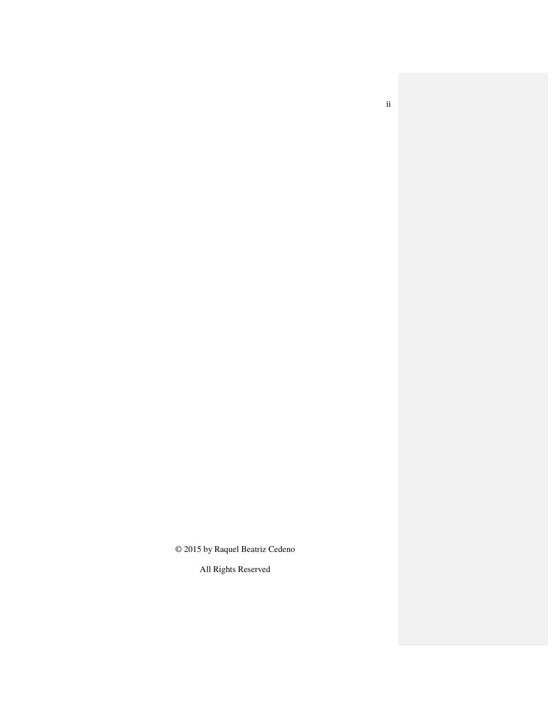© 2015 by Raquel Beatriz Cedeno

All Rights Reserved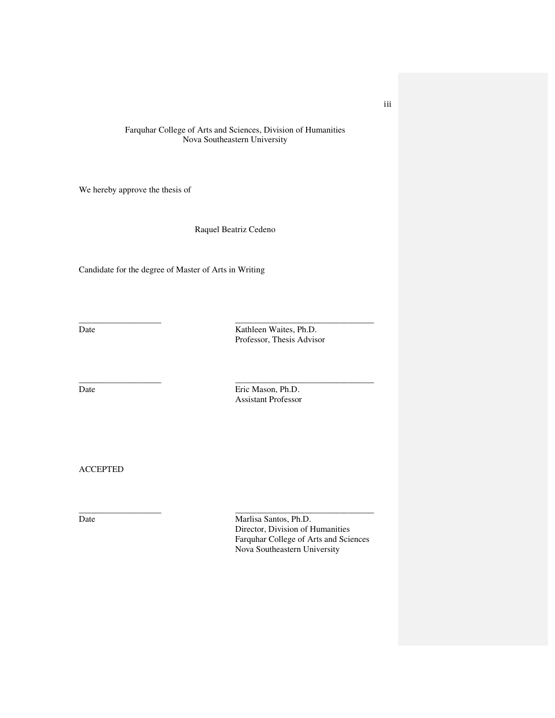#### Farquhar College of Arts and Sciences, Division of Humanities Nova Southeastern University

We hereby approve the thesis of

Raquel Beatriz Cedeno

\_\_\_\_\_\_\_\_\_\_\_\_\_\_\_\_\_\_\_ \_\_\_\_\_\_\_\_\_\_\_\_\_\_\_\_\_\_\_\_\_\_\_\_\_\_\_\_\_\_\_\_

\_\_\_\_\_\_\_\_\_\_\_\_\_\_\_\_\_\_\_ \_\_\_\_\_\_\_\_\_\_\_\_\_\_\_\_\_\_\_\_\_\_\_\_\_\_\_\_\_\_\_\_

\_\_\_\_\_\_\_\_\_\_\_\_\_\_\_\_\_\_\_ \_\_\_\_\_\_\_\_\_\_\_\_\_\_\_\_\_\_\_\_\_\_\_\_\_\_\_\_\_\_\_\_

Candidate for the degree of Master of Arts in Writing

Date Kathleen Waites, Ph.D. Professor, Thesis Advisor

Date Eric Mason, Ph.D. Assistant Professor

ACCEPTED

Date Marlisa Santos, Ph.D. Director, Division of Humanities Farquhar College of Arts and Sciences Nova Southeastern University

iii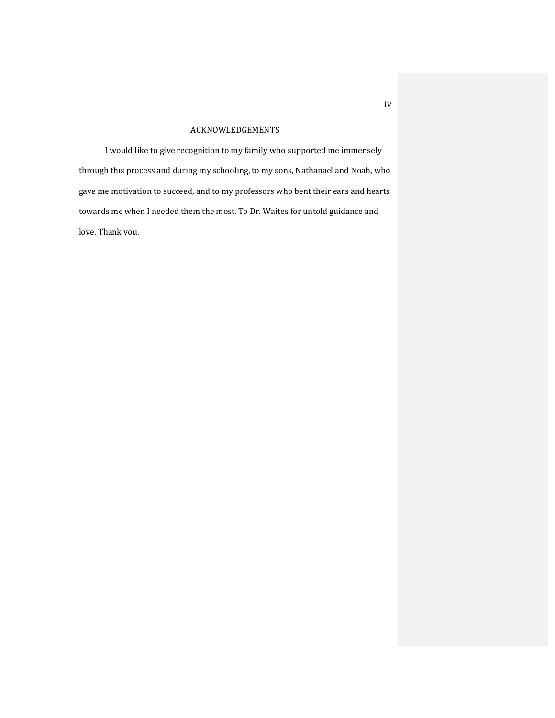### ACKNOWLEDGEMENTS

I would like to give recognition to my family who supported me immensely through this process and during my schooling, to my sons, Nathanael and Noah, who gave me motivation to succeed, and to my professors who bent their ears and hearts towards me when I needed them the most. To Dr. Waites for untold guidance and love. Thank you.

iv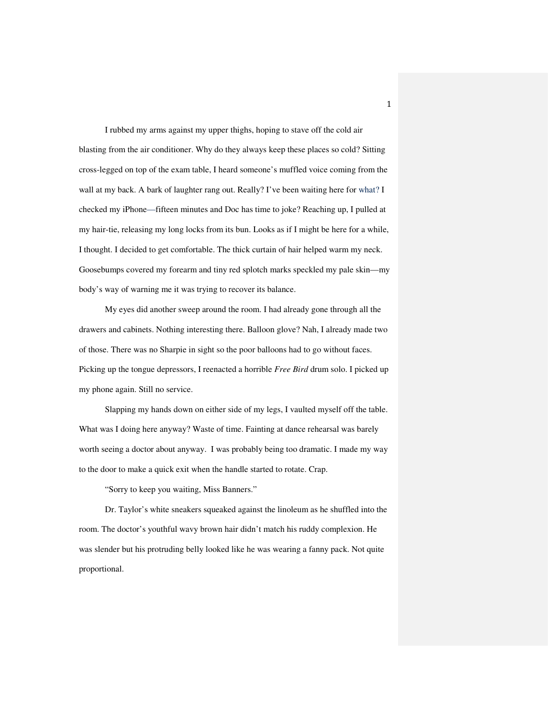I rubbed my arms against my upper thighs, hoping to stave off the cold air blasting from the air conditioner. Why do they always keep these places so cold? Sitting cross-legged on top of the exam table, I heard someone's muffled voice coming from the wall at my back. A bark of laughter rang out. Really? I've been waiting here for what? I checked my iPhone—fifteen minutes and Doc has time to joke? Reaching up, I pulled at my hair-tie, releasing my long locks from its bun. Looks as if I might be here for a while, I thought. I decided to get comfortable. The thick curtain of hair helped warm my neck. Goosebumps covered my forearm and tiny red splotch marks speckled my pale skin—my body's way of warning me it was trying to recover its balance.

 My eyes did another sweep around the room. I had already gone through all the drawers and cabinets. Nothing interesting there. Balloon glove? Nah, I already made two of those. There was no Sharpie in sight so the poor balloons had to go without faces. Picking up the tongue depressors, I reenacted a horrible *Free Bird* drum solo. I picked up my phone again. Still no service.

 Slapping my hands down on either side of my legs, I vaulted myself off the table. What was I doing here anyway? Waste of time. Fainting at dance rehearsal was barely worth seeing a doctor about anyway. I was probably being too dramatic. I made my way to the door to make a quick exit when the handle started to rotate. Crap.

"Sorry to keep you waiting, Miss Banners."

 Dr. Taylor's white sneakers squeaked against the linoleum as he shuffled into the room. The doctor's youthful wavy brown hair didn't match his ruddy complexion. He was slender but his protruding belly looked like he was wearing a fanny pack. Not quite proportional.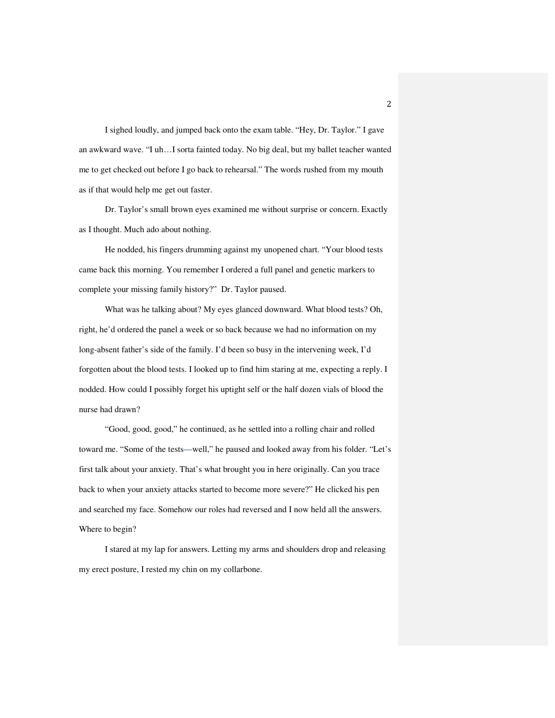I sighed loudly, and jumped back onto the exam table. "Hey, Dr. Taylor." I gave an awkward wave. "I uh…I sorta fainted today. No big deal, but my ballet teacher wanted me to get checked out before I go back to rehearsal." The words rushed from my mouth as if that would help me get out faster.

 Dr. Taylor's small brown eyes examined me without surprise or concern. Exactly as I thought. Much ado about nothing.

 He nodded, his fingers drumming against my unopened chart. "Your blood tests came back this morning. You remember I ordered a full panel and genetic markers to complete your missing family history?" Dr. Taylor paused.

What was he talking about? My eyes glanced downward. What blood tests? Oh, right, he'd ordered the panel a week or so back because we had no information on my long-absent father's side of the family. I'd been so busy in the intervening week, I'd forgotten about the blood tests. I looked up to find him staring at me, expecting a reply. I nodded. How could I possibly forget his uptight self or the half dozen vials of blood the nurse had drawn?

 "Good, good, good," he continued, as he settled into a rolling chair and rolled toward me. "Some of the tests—well," he paused and looked away from his folder. "Let's first talk about your anxiety. That's what brought you in here originally. Can you trace back to when your anxiety attacks started to become more severe?" He clicked his pen and searched my face. Somehow our roles had reversed and I now held all the answers. Where to begin?

 I stared at my lap for answers. Letting my arms and shoulders drop and releasing my erect posture, I rested my chin on my collarbone.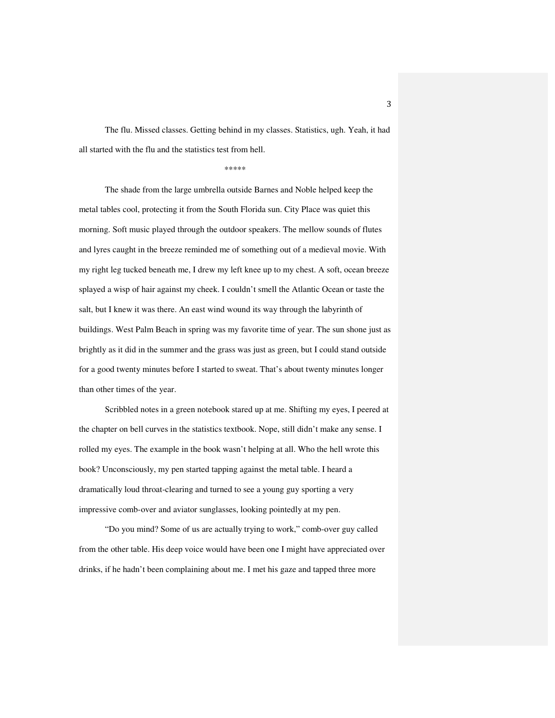The flu. Missed classes. Getting behind in my classes. Statistics, ugh. Yeah, it had all started with the flu and the statistics test from hell.

#### \*\*\*\*\*\*\*\*\*\*\*

 The shade from the large umbrella outside Barnes and Noble helped keep the metal tables cool, protecting it from the South Florida sun. City Place was quiet this morning. Soft music played through the outdoor speakers. The mellow sounds of flutes and lyres caught in the breeze reminded me of something out of a medieval movie. With my right leg tucked beneath me, I drew my left knee up to my chest. A soft, ocean breeze splayed a wisp of hair against my cheek. I couldn't smell the Atlantic Ocean or taste the salt, but I knew it was there. An east wind wound its way through the labyrinth of buildings. West Palm Beach in spring was my favorite time of year. The sun shone just as brightly as it did in the summer and the grass was just as green, but I could stand outside for a good twenty minutes before I started to sweat. That's about twenty minutes longer than other times of the year.

Scribbled notes in a green notebook stared up at me. Shifting my eyes, I peered at the chapter on bell curves in the statistics textbook. Nope, still didn't make any sense. I rolled my eyes. The example in the book wasn't helping at all. Who the hell wrote this book? Unconsciously, my pen started tapping against the metal table. I heard a dramatically loud throat-clearing and turned to see a young guy sporting a very impressive comb-over and aviator sunglasses, looking pointedly at my pen.

"Do you mind? Some of us are actually trying to work," comb-over guy called from the other table. His deep voice would have been one I might have appreciated over drinks, if he hadn't been complaining about me. I met his gaze and tapped three more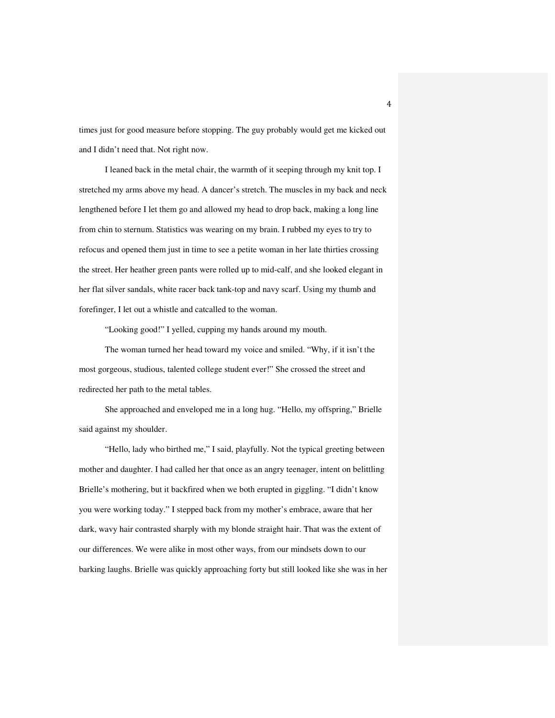times just for good measure before stopping. The guy probably would get me kicked out and I didn't need that. Not right now.

I leaned back in the metal chair, the warmth of it seeping through my knit top. I stretched my arms above my head. A dancer's stretch. The muscles in my back and neck lengthened before I let them go and allowed my head to drop back, making a long line from chin to sternum. Statistics was wearing on my brain. I rubbed my eyes to try to refocus and opened them just in time to see a petite woman in her late thirties crossing the street. Her heather green pants were rolled up to mid-calf, and she looked elegant in her flat silver sandals, white racer back tank-top and navy scarf. Using my thumb and forefinger, I let out a whistle and catcalled to the woman.

"Looking good!" I yelled, cupping my hands around my mouth.

The woman turned her head toward my voice and smiled. "Why, if it isn't the most gorgeous, studious, talented college student ever!" She crossed the street and redirected her path to the metal tables.

She approached and enveloped me in a long hug. "Hello, my offspring," Brielle said against my shoulder.

"Hello, lady who birthed me," I said, playfully. Not the typical greeting between mother and daughter. I had called her that once as an angry teenager, intent on belittling Brielle's mothering, but it backfired when we both erupted in giggling. "I didn't know you were working today." I stepped back from my mother's embrace, aware that her dark, wavy hair contrasted sharply with my blonde straight hair. That was the extent of our differences. We were alike in most other ways, from our mindsets down to our barking laughs. Brielle was quickly approaching forty but still looked like she was in her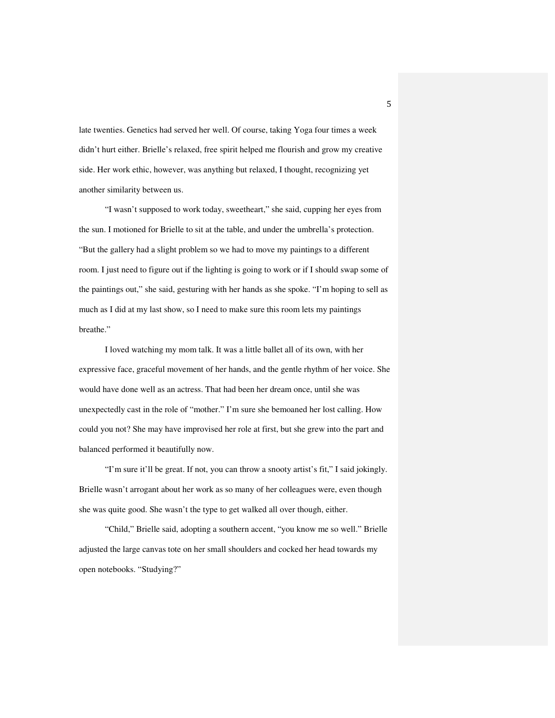late twenties. Genetics had served her well. Of course, taking Yoga four times a week didn't hurt either. Brielle's relaxed, free spirit helped me flourish and grow my creative side. Her work ethic, however, was anything but relaxed, I thought, recognizing yet another similarity between us.

"I wasn't supposed to work today, sweetheart," she said, cupping her eyes from the sun. I motioned for Brielle to sit at the table, and under the umbrella's protection. "But the gallery had a slight problem so we had to move my paintings to a different room. I just need to figure out if the lighting is going to work or if I should swap some of the paintings out," she said, gesturing with her hands as she spoke. "I'm hoping to sell as much as I did at my last show, so I need to make sure this room lets my paintings breathe."

I loved watching my mom talk. It was a little ballet all of its own, with her expressive face, graceful movement of her hands, and the gentle rhythm of her voice. She would have done well as an actress. That had been her dream once, until she was unexpectedly cast in the role of "mother." I'm sure she bemoaned her lost calling. How could you not? She may have improvised her role at first, but she grew into the part and balanced performed it beautifully now.

"I'm sure it'll be great. If not, you can throw a snooty artist's fit," I said jokingly. Brielle wasn't arrogant about her work as so many of her colleagues were, even though she was quite good. She wasn't the type to get walked all over though, either.

"Child," Brielle said, adopting a southern accent, "you know me so well." Brielle adjusted the large canvas tote on her small shoulders and cocked her head towards my open notebooks. "Studying?"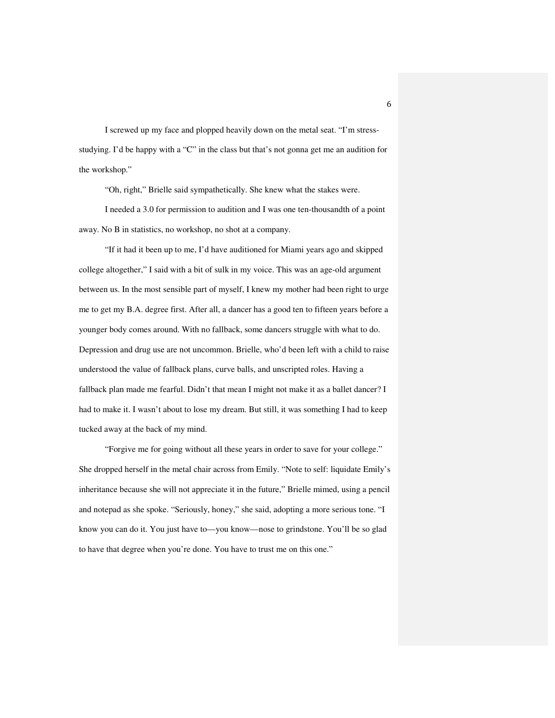I screwed up my face and plopped heavily down on the metal seat. "I'm stressstudying. I'd be happy with a "C" in the class but that's not gonna get me an audition for the workshop."

"Oh, right," Brielle said sympathetically. She knew what the stakes were.

I needed a 3.0 for permission to audition and I was one ten-thousandth of a point away. No B in statistics, no workshop, no shot at a company.

"If it had it been up to me, I'd have auditioned for Miami years ago and skipped college altogether," I said with a bit of sulk in my voice. This was an age-old argument between us. In the most sensible part of myself, I knew my mother had been right to urge me to get my B.A. degree first. After all, a dancer has a good ten to fifteen years before a younger body comes around. With no fallback, some dancers struggle with what to do. Depression and drug use are not uncommon. Brielle, who'd been left with a child to raise understood the value of fallback plans, curve balls, and unscripted roles. Having a fallback plan made me fearful. Didn't that mean I might not make it as a ballet dancer? I had to make it. I wasn't about to lose my dream. But still, it was something I had to keep tucked away at the back of my mind.

"Forgive me for going without all these years in order to save for your college." She dropped herself in the metal chair across from Emily. "Note to self: liquidate Emily's inheritance because she will not appreciate it in the future," Brielle mimed, using a pencil and notepad as she spoke. "Seriously, honey," she said, adopting a more serious tone. "I know you can do it. You just have to—you know—nose to grindstone. You'll be so glad to have that degree when you're done. You have to trust me on this one."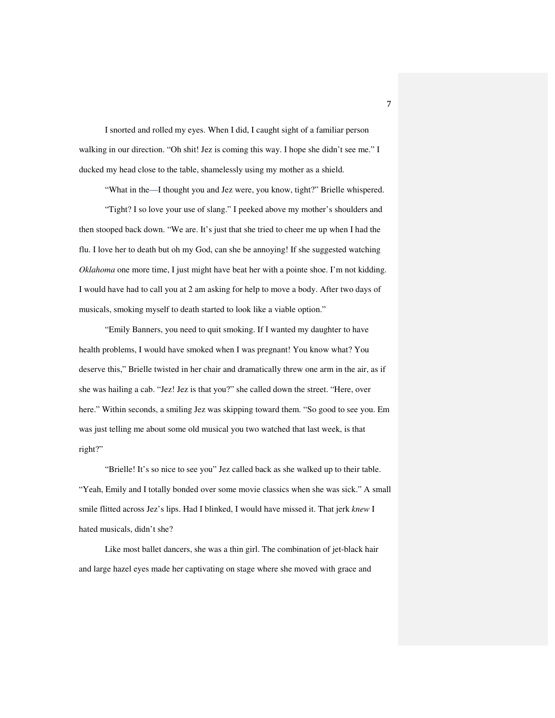I snorted and rolled my eyes. When I did, I caught sight of a familiar person walking in our direction. "Oh shit! Jez is coming this way. I hope she didn't see me." I ducked my head close to the table, shamelessly using my mother as a shield.

"What in the—I thought you and Jez were, you know, tight?" Brielle whispered. "Tight? I so love your use of slang." I peeked above my mother's shoulders and then stooped back down. "We are. It's just that she tried to cheer me up when I had the flu. I love her to death but oh my God, can she be annoying! If she suggested watching *Oklahoma* one more time, I just might have beat her with a pointe shoe. I'm not kidding. I would have had to call you at 2 am asking for help to move a body. After two days of musicals, smoking myself to death started to look like a viable option."

"Emily Banners, you need to quit smoking. If I wanted my daughter to have health problems, I would have smoked when I was pregnant! You know what? You deserve this," Brielle twisted in her chair and dramatically threw one arm in the air, as if she was hailing a cab. "Jez! Jez is that you?" she called down the street. "Here, over here." Within seconds, a smiling Jez was skipping toward them. "So good to see you. Em was just telling me about some old musical you two watched that last week, is that right?"

"Brielle! It's so nice to see you" Jez called back as she walked up to their table. "Yeah, Emily and I totally bonded over some movie classics when she was sick." A small smile flitted across Jez's lips. Had I blinked, I would have missed it. That jerk *knew* I hated musicals, didn't she?

Like most ballet dancers, she was a thin girl. The combination of jet-black hair and large hazel eyes made her captivating on stage where she moved with grace and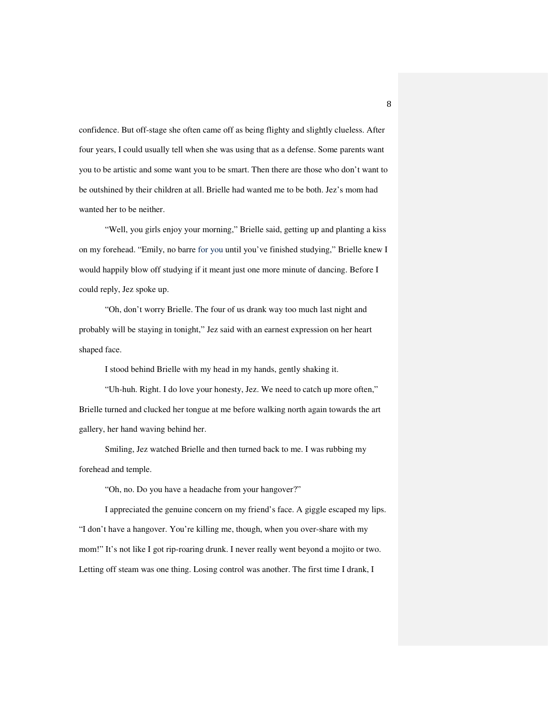confidence. But off-stage she often came off as being flighty and slightly clueless. After four years, I could usually tell when she was using that as a defense. Some parents want you to be artistic and some want you to be smart. Then there are those who don't want to be outshined by their children at all. Brielle had wanted me to be both. Jez's mom had wanted her to be neither.

"Well, you girls enjoy your morning," Brielle said, getting up and planting a kiss on my forehead. "Emily, no barre for you until you've finished studying," Brielle knew I would happily blow off studying if it meant just one more minute of dancing. Before I could reply, Jez spoke up.

"Oh, don't worry Brielle. The four of us drank way too much last night and probably will be staying in tonight," Jez said with an earnest expression on her heart shaped face.

I stood behind Brielle with my head in my hands, gently shaking it.

"Uh-huh. Right. I do love your honesty, Jez. We need to catch up more often," Brielle turned and clucked her tongue at me before walking north again towards the art gallery, her hand waving behind her.

Smiling, Jez watched Brielle and then turned back to me. I was rubbing my forehead and temple.

"Oh, no. Do you have a headache from your hangover?"

I appreciated the genuine concern on my friend's face. A giggle escaped my lips. "I don't have a hangover. You're killing me, though, when you over-share with my mom!" It's not like I got rip-roaring drunk. I never really went beyond a mojito or two. Letting off steam was one thing. Losing control was another. The first time I drank, I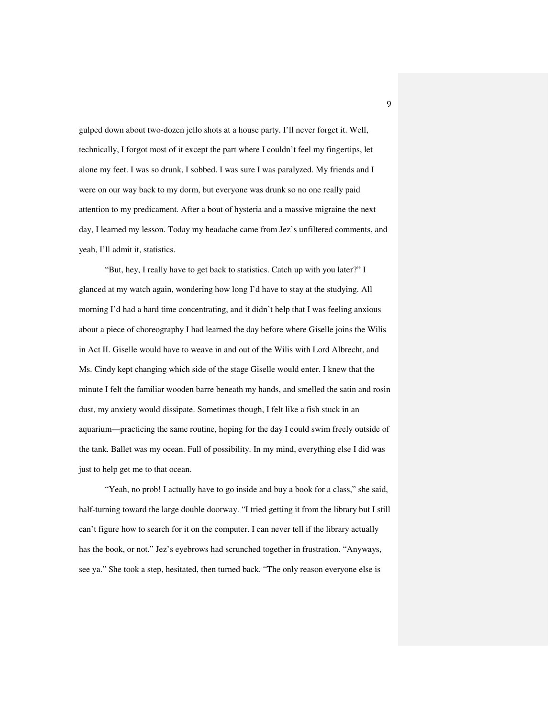gulped down about two-dozen jello shots at a house party. I'll never forget it. Well, technically, I forgot most of it except the part where I couldn't feel my fingertips, let alone my feet. I was so drunk, I sobbed. I was sure I was paralyzed. My friends and I were on our way back to my dorm, but everyone was drunk so no one really paid attention to my predicament. After a bout of hysteria and a massive migraine the next day, I learned my lesson. Today my headache came from Jez's unfiltered comments, and yeah, I'll admit it, statistics.

"But, hey, I really have to get back to statistics. Catch up with you later?" I glanced at my watch again, wondering how long I'd have to stay at the studying. All morning I'd had a hard time concentrating, and it didn't help that I was feeling anxious about a piece of choreography I had learned the day before where Giselle joins the Wilis in Act II. Giselle would have to weave in and out of the Wilis with Lord Albrecht, and Ms. Cindy kept changing which side of the stage Giselle would enter. I knew that the minute I felt the familiar wooden barre beneath my hands, and smelled the satin and rosin dust, my anxiety would dissipate. Sometimes though, I felt like a fish stuck in an aquarium—practicing the same routine, hoping for the day I could swim freely outside of the tank. Ballet was my ocean. Full of possibility. In my mind, everything else I did was just to help get me to that ocean.

"Yeah, no prob! I actually have to go inside and buy a book for a class," she said, half-turning toward the large double doorway. "I tried getting it from the library but I still can't figure how to search for it on the computer. I can never tell if the library actually has the book, or not." Jez's eyebrows had scrunched together in frustration. "Anyways, see ya." She took a step, hesitated, then turned back. "The only reason everyone else is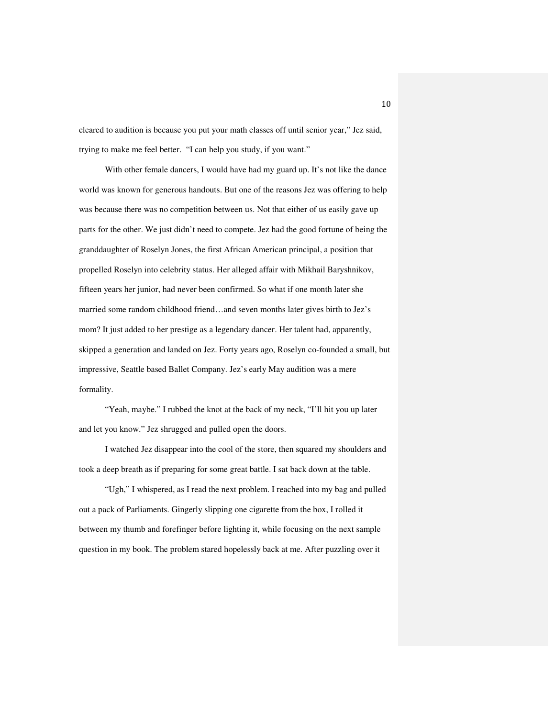cleared to audition is because you put your math classes off until senior year," Jez said, trying to make me feel better. "I can help you study, if you want."

With other female dancers, I would have had my guard up. It's not like the dance world was known for generous handouts. But one of the reasons Jez was offering to help was because there was no competition between us. Not that either of us easily gave up parts for the other. We just didn't need to compete. Jez had the good fortune of being the granddaughter of Roselyn Jones, the first African American principal, a position that propelled Roselyn into celebrity status. Her alleged affair with Mikhail Baryshnikov, fifteen years her junior, had never been confirmed. So what if one month later she married some random childhood friend…and seven months later gives birth to Jez's mom? It just added to her prestige as a legendary dancer. Her talent had, apparently, skipped a generation and landed on Jez. Forty years ago, Roselyn co-founded a small, but impressive, Seattle based Ballet Company. Jez's early May audition was a mere formality.

"Yeah, maybe." I rubbed the knot at the back of my neck, "I'll hit you up later and let you know." Jez shrugged and pulled open the doors.

I watched Jez disappear into the cool of the store, then squared my shoulders and took a deep breath as if preparing for some great battle. I sat back down at the table.

"Ugh," I whispered, as I read the next problem. I reached into my bag and pulled out a pack of Parliaments. Gingerly slipping one cigarette from the box, I rolled it between my thumb and forefinger before lighting it, while focusing on the next sample question in my book. The problem stared hopelessly back at me. After puzzling over it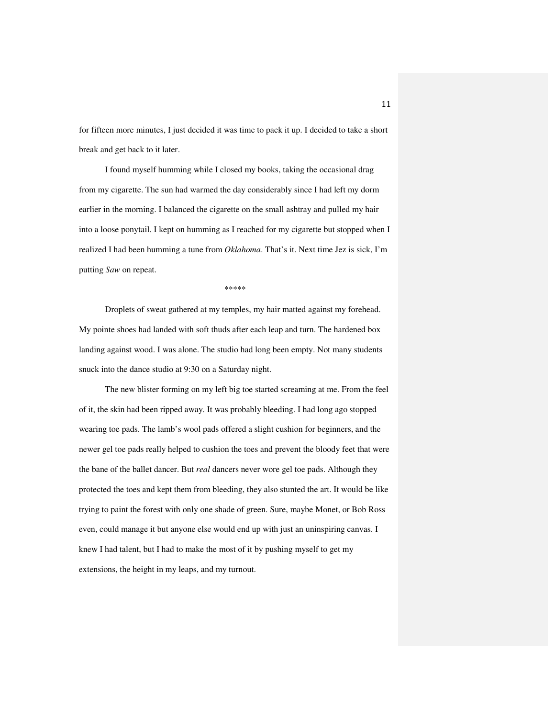for fifteen more minutes, I just decided it was time to pack it up. I decided to take a short break and get back to it later.

I found myself humming while I closed my books, taking the occasional drag from my cigarette. The sun had warmed the day considerably since I had left my dorm earlier in the morning. I balanced the cigarette on the small ashtray and pulled my hair into a loose ponytail. I kept on humming as I reached for my cigarette but stopped when I realized I had been humming a tune from *Oklahoma*. That's it. Next time Jez is sick, I'm putting *Saw* on repeat.

\*\*\*\*\*

 Droplets of sweat gathered at my temples, my hair matted against my forehead. My pointe shoes had landed with soft thuds after each leap and turn. The hardened box landing against wood. I was alone. The studio had long been empty. Not many students snuck into the dance studio at 9:30 on a Saturday night.

The new blister forming on my left big toe started screaming at me. From the feel of it, the skin had been ripped away. It was probably bleeding. I had long ago stopped wearing toe pads. The lamb's wool pads offered a slight cushion for beginners, and the newer gel toe pads really helped to cushion the toes and prevent the bloody feet that were the bane of the ballet dancer. But *real* dancers never wore gel toe pads. Although they protected the toes and kept them from bleeding, they also stunted the art. It would be like trying to paint the forest with only one shade of green. Sure, maybe Monet, or Bob Ross even, could manage it but anyone else would end up with just an uninspiring canvas. I knew I had talent, but I had to make the most of it by pushing myself to get my extensions, the height in my leaps, and my turnout.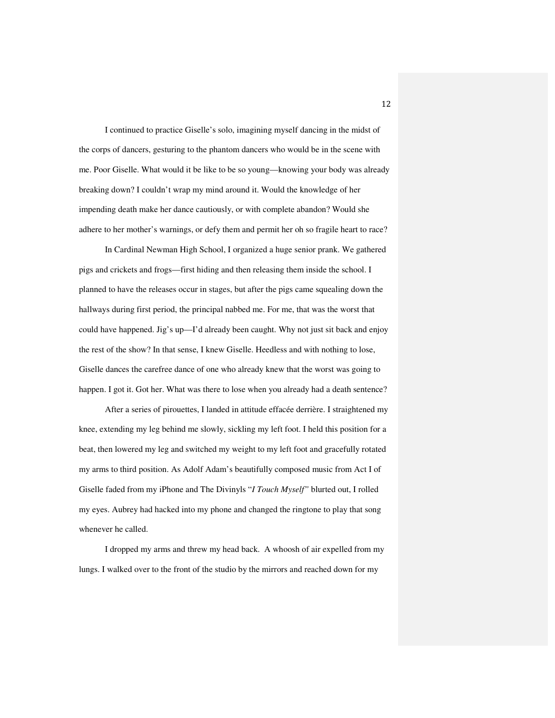I continued to practice Giselle's solo, imagining myself dancing in the midst of the corps of dancers, gesturing to the phantom dancers who would be in the scene with me. Poor Giselle. What would it be like to be so young—knowing your body was already breaking down? I couldn't wrap my mind around it. Would the knowledge of her impending death make her dance cautiously, or with complete abandon? Would she adhere to her mother's warnings, or defy them and permit her oh so fragile heart to race?

In Cardinal Newman High School, I organized a huge senior prank. We gathered pigs and crickets and frogs—first hiding and then releasing them inside the school. I planned to have the releases occur in stages, but after the pigs came squealing down the hallways during first period, the principal nabbed me. For me, that was the worst that could have happened. Jig's up—I'd already been caught. Why not just sit back and enjoy the rest of the show? In that sense, I knew Giselle. Heedless and with nothing to lose, Giselle dances the carefree dance of one who already knew that the worst was going to happen. I got it. Got her. What was there to lose when you already had a death sentence?

 After a series of pirouettes, I landed in attitude effacée derrière. I straightened my knee, extending my leg behind me slowly, sickling my left foot. I held this position for a beat, then lowered my leg and switched my weight to my left foot and gracefully rotated my arms to third position. As Adolf Adam's beautifully composed music from Act I of Giselle faded from my iPhone and The Divinyls "*I Touch Myself"* blurted out, I rolled my eyes. Aubrey had hacked into my phone and changed the ringtone to play that song whenever he called.

 I dropped my arms and threw my head back. A whoosh of air expelled from my lungs. I walked over to the front of the studio by the mirrors and reached down for my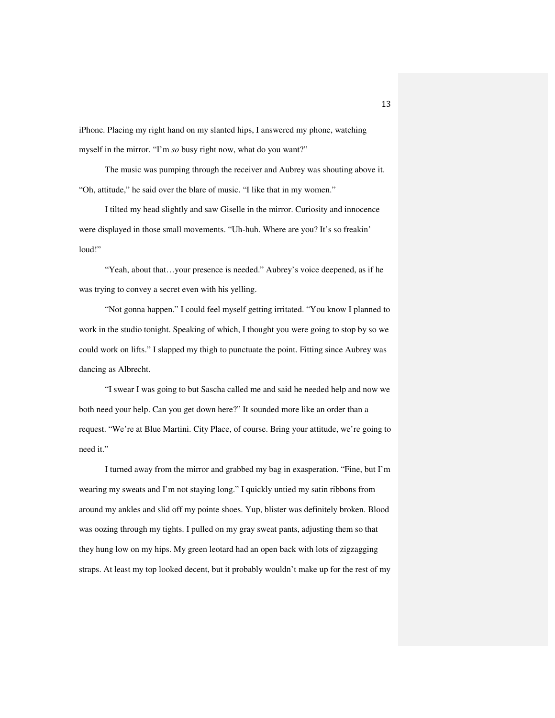iPhone. Placing my right hand on my slanted hips, I answered my phone, watching myself in the mirror. "I'm *so* busy right now, what do you want?"

 The music was pumping through the receiver and Aubrey was shouting above it. "Oh, attitude," he said over the blare of music. "I like that in my women."

 I tilted my head slightly and saw Giselle in the mirror. Curiosity and innocence were displayed in those small movements. "Uh-huh. Where are you? It's so freakin' loud!"

 "Yeah, about that…your presence is needed." Aubrey's voice deepened, as if he was trying to convey a secret even with his yelling.

 "Not gonna happen." I could feel myself getting irritated. "You know I planned to work in the studio tonight. Speaking of which, I thought you were going to stop by so we could work on lifts." I slapped my thigh to punctuate the point. Fitting since Aubrey was dancing as Albrecht.

 "I swear I was going to but Sascha called me and said he needed help and now we both need your help. Can you get down here?" It sounded more like an order than a request. "We're at Blue Martini. City Place, of course. Bring your attitude, we're going to need it."

 I turned away from the mirror and grabbed my bag in exasperation. "Fine, but I'm wearing my sweats and I'm not staying long." I quickly untied my satin ribbons from around my ankles and slid off my pointe shoes. Yup, blister was definitely broken. Blood was oozing through my tights. I pulled on my gray sweat pants, adjusting them so that they hung low on my hips. My green leotard had an open back with lots of zigzagging straps. At least my top looked decent, but it probably wouldn't make up for the rest of my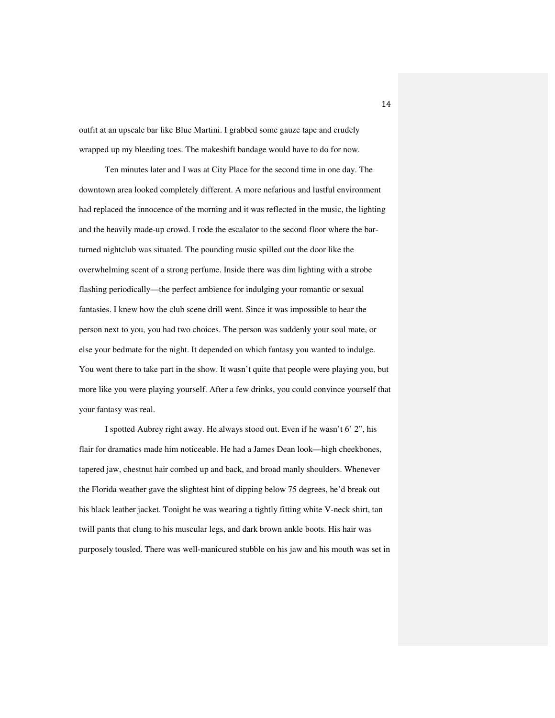outfit at an upscale bar like Blue Martini. I grabbed some gauze tape and crudely wrapped up my bleeding toes. The makeshift bandage would have to do for now.

 Ten minutes later and I was at City Place for the second time in one day. The downtown area looked completely different. A more nefarious and lustful environment had replaced the innocence of the morning and it was reflected in the music, the lighting and the heavily made-up crowd. I rode the escalator to the second floor where the barturned nightclub was situated. The pounding music spilled out the door like the overwhelming scent of a strong perfume. Inside there was dim lighting with a strobe flashing periodically—the perfect ambience for indulging your romantic or sexual fantasies. I knew how the club scene drill went. Since it was impossible to hear the person next to you, you had two choices. The person was suddenly your soul mate, or else your bedmate for the night. It depended on which fantasy you wanted to indulge. You went there to take part in the show. It wasn't quite that people were playing you, but more like you were playing yourself. After a few drinks, you could convince yourself that your fantasy was real.

 I spotted Aubrey right away. He always stood out. Even if he wasn't 6' 2", his flair for dramatics made him noticeable. He had a James Dean look—high cheekbones, tapered jaw, chestnut hair combed up and back, and broad manly shoulders. Whenever the Florida weather gave the slightest hint of dipping below 75 degrees, he'd break out his black leather jacket. Tonight he was wearing a tightly fitting white V-neck shirt, tan twill pants that clung to his muscular legs, and dark brown ankle boots. His hair was purposely tousled. There was well-manicured stubble on his jaw and his mouth was set in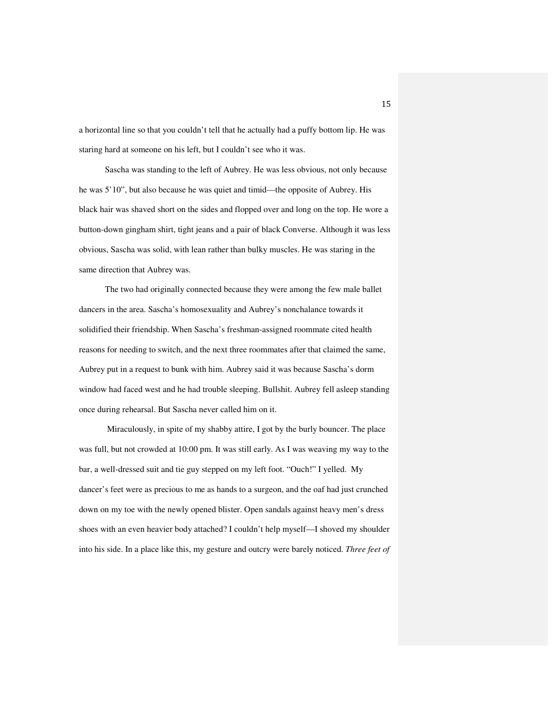a horizontal line so that you couldn't tell that he actually had a puffy bottom lip. He was staring hard at someone on his left, but I couldn't see who it was.

Sascha was standing to the left of Aubrey. He was less obvious, not only because he was 5'10", but also because he was quiet and timid—the opposite of Aubrey. His black hair was shaved short on the sides and flopped over and long on the top. He wore a button-down gingham shirt, tight jeans and a pair of black Converse. Although it was less obvious, Sascha was solid, with lean rather than bulky muscles. He was staring in the same direction that Aubrey was.

The two had originally connected because they were among the few male ballet dancers in the area. Sascha's homosexuality and Aubrey's nonchalance towards it solidified their friendship. When Sascha's freshman-assigned roommate cited health reasons for needing to switch, and the next three roommates after that claimed the same, Aubrey put in a request to bunk with him. Aubrey said it was because Sascha's dorm window had faced west and he had trouble sleeping. Bullshit. Aubrey fell asleep standing once during rehearsal. But Sascha never called him on it.

 Miraculously, in spite of my shabby attire, I got by the burly bouncer. The place was full, but not crowded at 10:00 pm. It was still early. As I was weaving my way to the bar, a well-dressed suit and tie guy stepped on my left foot. "Ouch!" I yelled. My dancer's feet were as precious to me as hands to a surgeon, and the oaf had just crunched down on my toe with the newly opened blister. Open sandals against heavy men's dress shoes with an even heavier body attached? I couldn't help myself—I shoved my shoulder into his side. In a place like this, my gesture and outcry were barely noticed. *Three feet of*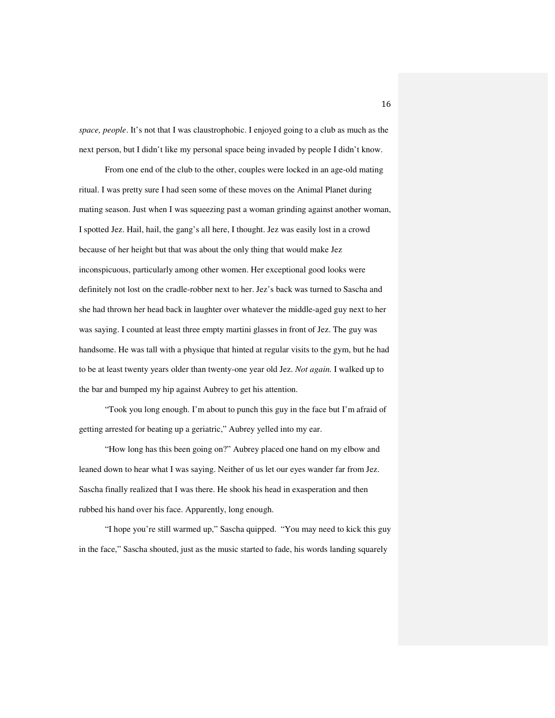*space, people*. It's not that I was claustrophobic. I enjoyed going to a club as much as the next person, but I didn't like my personal space being invaded by people I didn't know.

 From one end of the club to the other, couples were locked in an age-old mating ritual. I was pretty sure I had seen some of these moves on the Animal Planet during mating season. Just when I was squeezing past a woman grinding against another woman, I spotted Jez. Hail, hail, the gang's all here, I thought. Jez was easily lost in a crowd because of her height but that was about the only thing that would make Jez inconspicuous, particularly among other women. Her exceptional good looks were definitely not lost on the cradle-robber next to her. Jez's back was turned to Sascha and she had thrown her head back in laughter over whatever the middle-aged guy next to her was saying. I counted at least three empty martini glasses in front of Jez. The guy was handsome. He was tall with a physique that hinted at regular visits to the gym, but he had to be at least twenty years older than twenty-one year old Jez. *Not again.* I walked up to the bar and bumped my hip against Aubrey to get his attention.

 "Took you long enough. I'm about to punch this guy in the face but I'm afraid of getting arrested for beating up a geriatric," Aubrey yelled into my ear.

 "How long has this been going on?" Aubrey placed one hand on my elbow and leaned down to hear what I was saying. Neither of us let our eyes wander far from Jez. Sascha finally realized that I was there. He shook his head in exasperation and then rubbed his hand over his face. Apparently, long enough.

 "I hope you're still warmed up," Sascha quipped. "You may need to kick this guy in the face," Sascha shouted, just as the music started to fade, his words landing squarely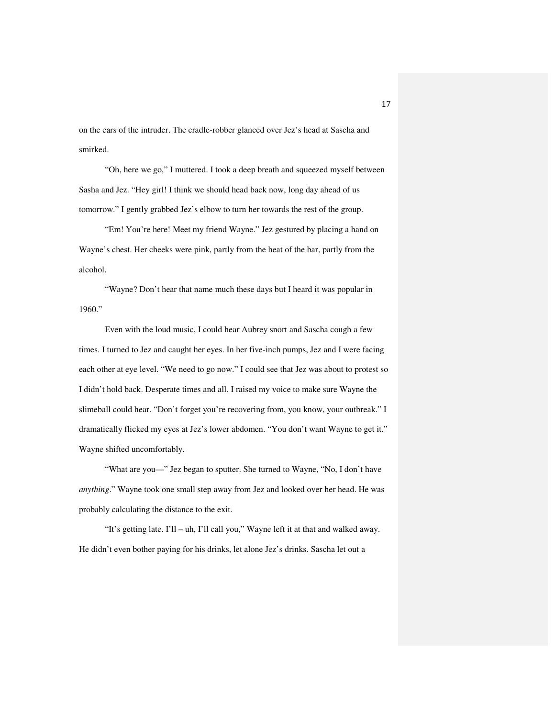on the ears of the intruder. The cradle-robber glanced over Jez's head at Sascha and smirked.

 "Oh, here we go," I muttered. I took a deep breath and squeezed myself between Sasha and Jez. "Hey girl! I think we should head back now, long day ahead of us tomorrow." I gently grabbed Jez's elbow to turn her towards the rest of the group.

 "Em! You're here! Meet my friend Wayne." Jez gestured by placing a hand on Wayne's chest. Her cheeks were pink, partly from the heat of the bar, partly from the alcohol.

 "Wayne? Don't hear that name much these days but I heard it was popular in 1960."

 Even with the loud music, I could hear Aubrey snort and Sascha cough a few times. I turned to Jez and caught her eyes. In her five-inch pumps, Jez and I were facing each other at eye level. "We need to go now." I could see that Jez was about to protest so I didn't hold back. Desperate times and all. I raised my voice to make sure Wayne the slimeball could hear. "Don't forget you're recovering from, you know, your outbreak." I dramatically flicked my eyes at Jez's lower abdomen. "You don't want Wayne to get it." Wayne shifted uncomfortably.

 "What are you—" Jez began to sputter. She turned to Wayne, "No, I don't have *anything*." Wayne took one small step away from Jez and looked over her head. He was probably calculating the distance to the exit.

 "It's getting late. I'll – uh, I'll call you," Wayne left it at that and walked away. He didn't even bother paying for his drinks, let alone Jez's drinks. Sascha let out a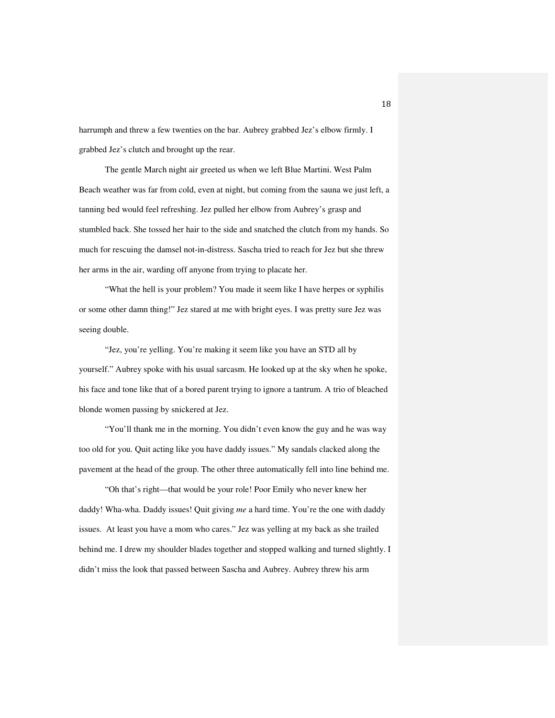harrumph and threw a few twenties on the bar. Aubrey grabbed Jez's elbow firmly. I grabbed Jez's clutch and brought up the rear.

 The gentle March night air greeted us when we left Blue Martini. West Palm Beach weather was far from cold, even at night, but coming from the sauna we just left, a tanning bed would feel refreshing. Jez pulled her elbow from Aubrey's grasp and stumbled back. She tossed her hair to the side and snatched the clutch from my hands. So much for rescuing the damsel not-in-distress. Sascha tried to reach for Jez but she threw her arms in the air, warding off anyone from trying to placate her.

 "What the hell is your problem? You made it seem like I have herpes or syphilis or some other damn thing!" Jez stared at me with bright eyes. I was pretty sure Jez was seeing double.

 "Jez, you're yelling. You're making it seem like you have an STD all by yourself." Aubrey spoke with his usual sarcasm. He looked up at the sky when he spoke, his face and tone like that of a bored parent trying to ignore a tantrum. A trio of bleached blonde women passing by snickered at Jez.

"You'll thank me in the morning. You didn't even know the guy and he was way too old for you. Quit acting like you have daddy issues." My sandals clacked along the pavement at the head of the group. The other three automatically fell into line behind me.

 "Oh that's right—that would be your role! Poor Emily who never knew her daddy! Wha-wha. Daddy issues! Quit giving *me* a hard time. You're the one with daddy issues. At least you have a mom who cares." Jez was yelling at my back as she trailed behind me. I drew my shoulder blades together and stopped walking and turned slightly. I didn't miss the look that passed between Sascha and Aubrey. Aubrey threw his arm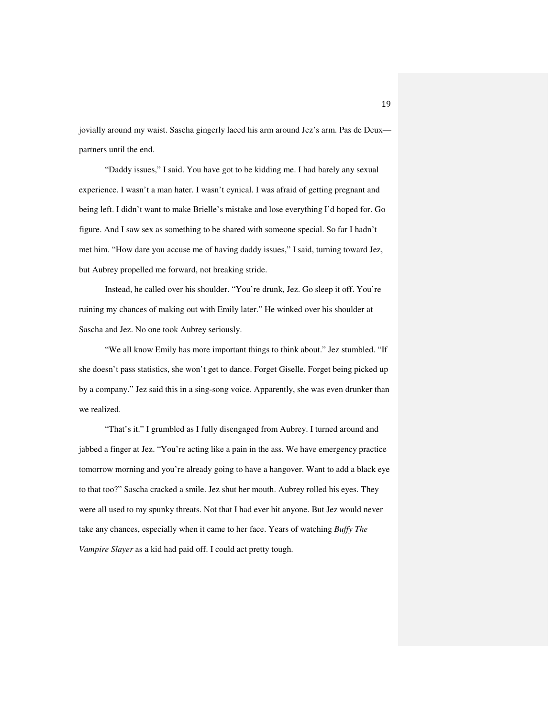jovially around my waist. Sascha gingerly laced his arm around Jez's arm. Pas de Deux partners until the end.

 "Daddy issues," I said. You have got to be kidding me. I had barely any sexual experience. I wasn't a man hater. I wasn't cynical. I was afraid of getting pregnant and being left. I didn't want to make Brielle's mistake and lose everything I'd hoped for. Go figure. And I saw sex as something to be shared with someone special. So far I hadn't met him. "How dare you accuse me of having daddy issues," I said, turning toward Jez, but Aubrey propelled me forward, not breaking stride.

Instead, he called over his shoulder. "You're drunk, Jez. Go sleep it off. You're ruining my chances of making out with Emily later." He winked over his shoulder at Sascha and Jez. No one took Aubrey seriously.

 "We all know Emily has more important things to think about." Jez stumbled. "If she doesn't pass statistics, she won't get to dance. Forget Giselle. Forget being picked up by a company." Jez said this in a sing-song voice. Apparently, she was even drunker than we realized.

"That's it." I grumbled as I fully disengaged from Aubrey. I turned around and jabbed a finger at Jez. "You're acting like a pain in the ass. We have emergency practice tomorrow morning and you're already going to have a hangover. Want to add a black eye to that too?" Sascha cracked a smile. Jez shut her mouth. Aubrey rolled his eyes. They were all used to my spunky threats. Not that I had ever hit anyone. But Jez would never take any chances, especially when it came to her face. Years of watching *Buffy The Vampire Slayer* as a kid had paid off. I could act pretty tough.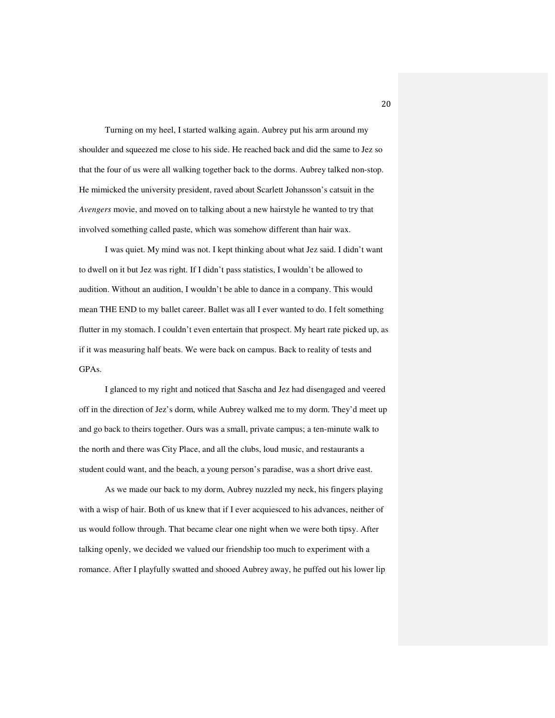Turning on my heel, I started walking again. Aubrey put his arm around my shoulder and squeezed me close to his side. He reached back and did the same to Jez so that the four of us were all walking together back to the dorms. Aubrey talked non-stop. He mimicked the university president, raved about Scarlett Johansson's catsuit in the *Avengers* movie, and moved on to talking about a new hairstyle he wanted to try that involved something called paste, which was somehow different than hair wax.

 I was quiet. My mind was not. I kept thinking about what Jez said. I didn't want to dwell on it but Jez was right. If I didn't pass statistics, I wouldn't be allowed to audition. Without an audition, I wouldn't be able to dance in a company. This would mean THE END to my ballet career. Ballet was all I ever wanted to do. I felt something flutter in my stomach. I couldn't even entertain that prospect. My heart rate picked up, as if it was measuring half beats. We were back on campus. Back to reality of tests and GPAs.

 I glanced to my right and noticed that Sascha and Jez had disengaged and veered off in the direction of Jez's dorm, while Aubrey walked me to my dorm. They'd meet up and go back to theirs together. Ours was a small, private campus; a ten-minute walk to the north and there was City Place, and all the clubs, loud music, and restaurants a student could want, and the beach, a young person's paradise, was a short drive east.

 As we made our back to my dorm, Aubrey nuzzled my neck, his fingers playing with a wisp of hair. Both of us knew that if I ever acquiesced to his advances, neither of us would follow through. That became clear one night when we were both tipsy. After talking openly, we decided we valued our friendship too much to experiment with a romance. After I playfully swatted and shooed Aubrey away, he puffed out his lower lip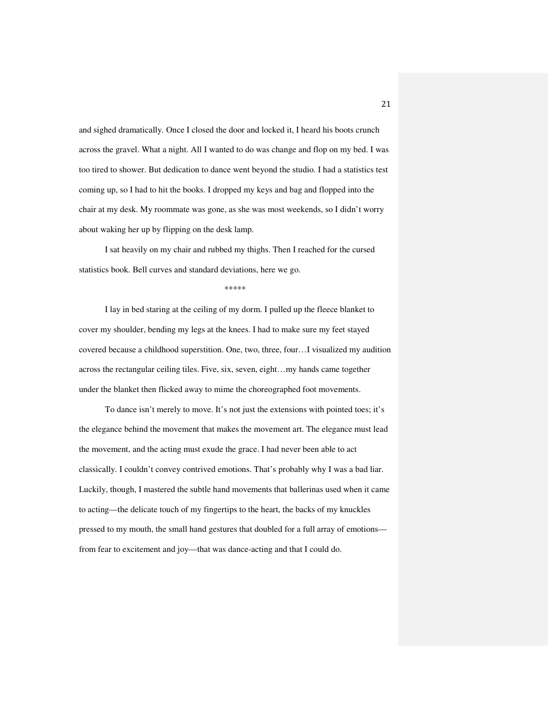and sighed dramatically. Once I closed the door and locked it, I heard his boots crunch across the gravel. What a night. All I wanted to do was change and flop on my bed. I was too tired to shower. But dedication to dance went beyond the studio. I had a statistics test coming up, so I had to hit the books. I dropped my keys and bag and flopped into the chair at my desk. My roommate was gone, as she was most weekends, so I didn't worry about waking her up by flipping on the desk lamp.

 I sat heavily on my chair and rubbed my thighs. Then I reached for the cursed statistics book. Bell curves and standard deviations, here we go.

\*\*\*\*\*

I lay in bed staring at the ceiling of my dorm. I pulled up the fleece blanket to cover my shoulder, bending my legs at the knees. I had to make sure my feet stayed covered because a childhood superstition. One, two, three, four…I visualized my audition across the rectangular ceiling tiles. Five, six, seven, eight…my hands came together under the blanket then flicked away to mime the choreographed foot movements.

 To dance isn't merely to move. It's not just the extensions with pointed toes; it's the elegance behind the movement that makes the movement art. The elegance must lead the movement, and the acting must exude the grace. I had never been able to act classically. I couldn't convey contrived emotions. That's probably why I was a bad liar. Luckily, though, I mastered the subtle hand movements that ballerinas used when it came to acting—the delicate touch of my fingertips to the heart, the backs of my knuckles pressed to my mouth, the small hand gestures that doubled for a full array of emotions from fear to excitement and joy—that was dance-acting and that I could do.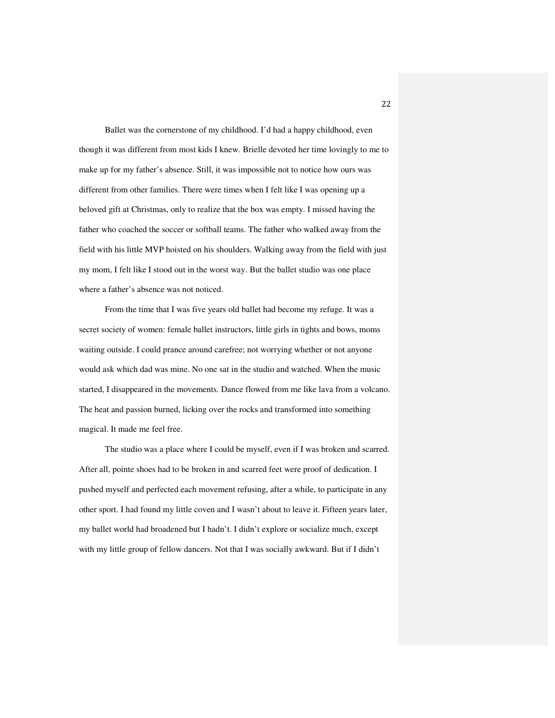Ballet was the cornerstone of my childhood. I'd had a happy childhood, even though it was different from most kids I knew. Brielle devoted her time lovingly to me to make up for my father's absence. Still, it was impossible not to notice how ours was different from other families. There were times when I felt like I was opening up a beloved gift at Christmas, only to realize that the box was empty. I missed having the father who coached the soccer or softball teams. The father who walked away from the field with his little MVP hoisted on his shoulders. Walking away from the field with just my mom, I felt like I stood out in the worst way. But the ballet studio was one place where a father's absence was not noticed.

 From the time that I was five years old ballet had become my refuge. It was a secret society of women: female ballet instructors, little girls in tights and bows, moms waiting outside. I could prance around carefree; not worrying whether or not anyone would ask which dad was mine. No one sat in the studio and watched. When the music started, I disappeared in the movements. Dance flowed from me like lava from a volcano. The heat and passion burned, licking over the rocks and transformed into something magical. It made me feel free.

The studio was a place where I could be myself, even if I was broken and scarred. After all, pointe shoes had to be broken in and scarred feet were proof of dedication. I pushed myself and perfected each movement refusing, after a while, to participate in any other sport. I had found my little coven and I wasn't about to leave it. Fifteen years later, my ballet world had broadened but I hadn't. I didn't explore or socialize much, except with my little group of fellow dancers. Not that I was socially awkward. But if I didn't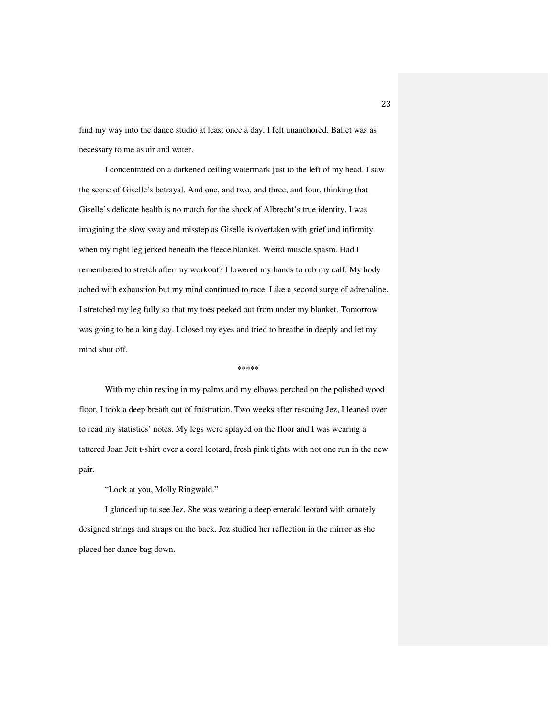find my way into the dance studio at least once a day, I felt unanchored. Ballet was as necessary to me as air and water.

I concentrated on a darkened ceiling watermark just to the left of my head. I saw the scene of Giselle's betrayal. And one, and two, and three, and four, thinking that Giselle's delicate health is no match for the shock of Albrecht's true identity. I was imagining the slow sway and misstep as Giselle is overtaken with grief and infirmity when my right leg jerked beneath the fleece blanket. Weird muscle spasm. Had I remembered to stretch after my workout? I lowered my hands to rub my calf. My body ached with exhaustion but my mind continued to race. Like a second surge of adrenaline. I stretched my leg fully so that my toes peeked out from under my blanket. Tomorrow was going to be a long day. I closed my eyes and tried to breathe in deeply and let my mind shut off.

\*\*\*\*\*

With my chin resting in my palms and my elbows perched on the polished wood floor, I took a deep breath out of frustration. Two weeks after rescuing Jez, I leaned over to read my statistics' notes. My legs were splayed on the floor and I was wearing a tattered Joan Jett t-shirt over a coral leotard, fresh pink tights with not one run in the new pair.

"Look at you, Molly Ringwald."

I glanced up to see Jez. She was wearing a deep emerald leotard with ornately designed strings and straps on the back. Jez studied her reflection in the mirror as she placed her dance bag down.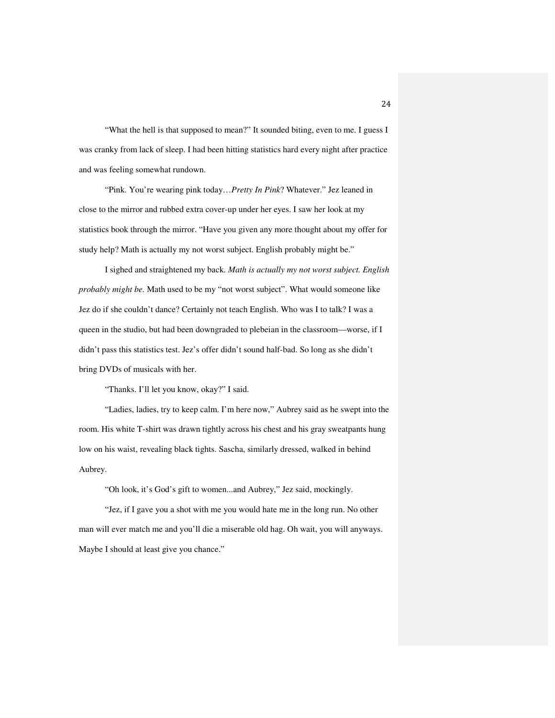"What the hell is that supposed to mean?" It sounded biting, even to me. I guess I was cranky from lack of sleep. I had been hitting statistics hard every night after practice and was feeling somewhat rundown.

"Pink. You're wearing pink today…*Pretty In Pink*? Whatever." Jez leaned in close to the mirror and rubbed extra cover-up under her eyes. I saw her look at my statistics book through the mirror. "Have you given any more thought about my offer for study help? Math is actually my not worst subject. English probably might be."

I sighed and straightened my back. *Math is actually my not worst subject. English probably might be.* Math used to be my "not worst subject". What would someone like Jez do if she couldn't dance? Certainly not teach English. Who was I to talk? I was a queen in the studio, but had been downgraded to plebeian in the classroom—worse, if I didn't pass this statistics test. Jez's offer didn't sound half-bad. So long as she didn't bring DVDs of musicals with her.

"Thanks. I'll let you know, okay?" I said.

"Ladies, ladies, try to keep calm. I'm here now," Aubrey said as he swept into the room. His white T-shirt was drawn tightly across his chest and his gray sweatpants hung low on his waist, revealing black tights. Sascha, similarly dressed, walked in behind Aubrey.

"Oh look, it's God's gift to women...and Aubrey," Jez said, mockingly.

"Jez, if I gave you a shot with me you would hate me in the long run. No other man will ever match me and you'll die a miserable old hag. Oh wait, you will anyways. Maybe I should at least give you chance."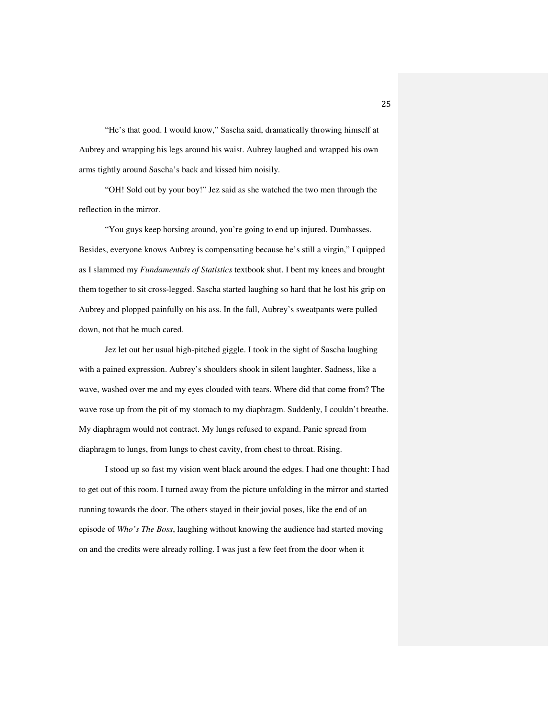"He's that good. I would know," Sascha said, dramatically throwing himself at Aubrey and wrapping his legs around his waist. Aubrey laughed and wrapped his own arms tightly around Sascha's back and kissed him noisily.

"OH! Sold out by your boy!" Jez said as she watched the two men through the reflection in the mirror.

"You guys keep horsing around, you're going to end up injured. Dumbasses. Besides, everyone knows Aubrey is compensating because he's still a virgin," I quipped as I slammed my *Fundamentals of Statistics* textbook shut. I bent my knees and brought them together to sit cross-legged. Sascha started laughing so hard that he lost his grip on Aubrey and plopped painfully on his ass. In the fall, Aubrey's sweatpants were pulled down, not that he much cared.

Jez let out her usual high-pitched giggle. I took in the sight of Sascha laughing with a pained expression. Aubrey's shoulders shook in silent laughter. Sadness, like a wave, washed over me and my eyes clouded with tears. Where did that come from? The wave rose up from the pit of my stomach to my diaphragm. Suddenly, I couldn't breathe. My diaphragm would not contract. My lungs refused to expand. Panic spread from diaphragm to lungs, from lungs to chest cavity, from chest to throat. Rising.

I stood up so fast my vision went black around the edges. I had one thought: I had to get out of this room. I turned away from the picture unfolding in the mirror and started running towards the door. The others stayed in their jovial poses, like the end of an episode of *Who's The Boss*, laughing without knowing the audience had started moving on and the credits were already rolling. I was just a few feet from the door when it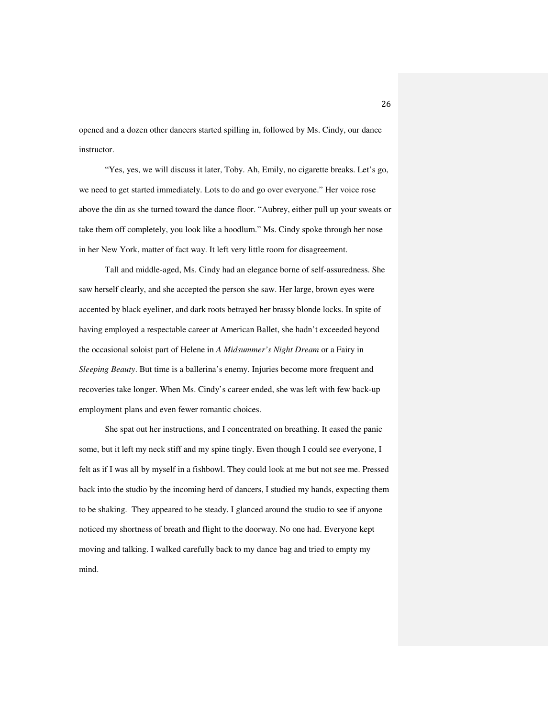opened and a dozen other dancers started spilling in, followed by Ms. Cindy, our dance instructor.

"Yes, yes, we will discuss it later, Toby. Ah, Emily, no cigarette breaks. Let's go, we need to get started immediately. Lots to do and go over everyone." Her voice rose above the din as she turned toward the dance floor. "Aubrey, either pull up your sweats or take them off completely, you look like a hoodlum." Ms. Cindy spoke through her nose in her New York, matter of fact way. It left very little room for disagreement.

Tall and middle-aged, Ms. Cindy had an elegance borne of self-assuredness. She saw herself clearly, and she accepted the person she saw. Her large, brown eyes were accented by black eyeliner, and dark roots betrayed her brassy blonde locks. In spite of having employed a respectable career at American Ballet, she hadn't exceeded beyond the occasional soloist part of Helene in *A Midsummer's Night Dream* or a Fairy in *Sleeping Beauty*. But time is a ballerina's enemy. Injuries become more frequent and recoveries take longer. When Ms. Cindy's career ended, she was left with few back-up employment plans and even fewer romantic choices.

She spat out her instructions, and I concentrated on breathing. It eased the panic some, but it left my neck stiff and my spine tingly. Even though I could see everyone, I felt as if I was all by myself in a fishbowl. They could look at me but not see me. Pressed back into the studio by the incoming herd of dancers, I studied my hands, expecting them to be shaking. They appeared to be steady. I glanced around the studio to see if anyone noticed my shortness of breath and flight to the doorway. No one had. Everyone kept moving and talking. I walked carefully back to my dance bag and tried to empty my mind.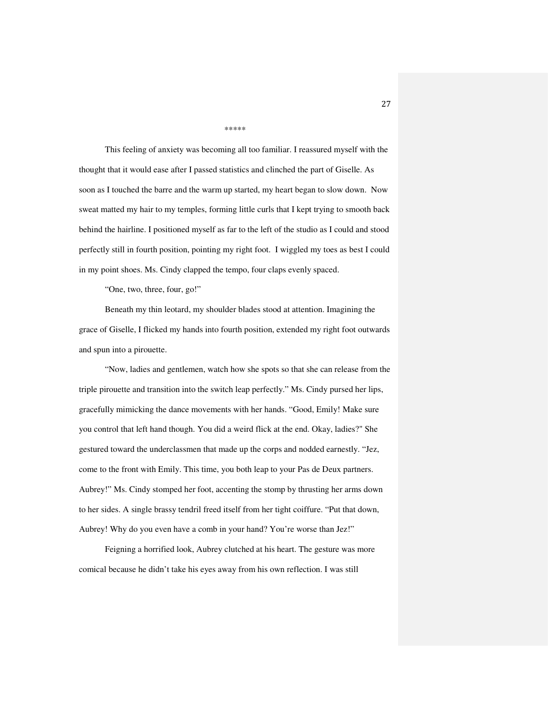This feeling of anxiety was becoming all too familiar. I reassured myself with the thought that it would ease after I passed statistics and clinched the part of Giselle. As soon as I touched the barre and the warm up started, my heart began to slow down. Now sweat matted my hair to my temples, forming little curls that I kept trying to smooth back behind the hairline. I positioned myself as far to the left of the studio as I could and stood perfectly still in fourth position, pointing my right foot. I wiggled my toes as best I could in my point shoes. Ms. Cindy clapped the tempo, four claps evenly spaced.

\*\*\*\*\*

"One, two, three, four, go!"

 Beneath my thin leotard, my shoulder blades stood at attention. Imagining the grace of Giselle, I flicked my hands into fourth position, extended my right foot outwards and spun into a pirouette.

 "Now, ladies and gentlemen, watch how she spots so that she can release from the triple pirouette and transition into the switch leap perfectly." Ms. Cindy pursed her lips, gracefully mimicking the dance movements with her hands. "Good, Emily! Make sure you control that left hand though. You did a weird flick at the end. Okay, ladies?" She gestured toward the underclassmen that made up the corps and nodded earnestly. "Jez, come to the front with Emily. This time, you both leap to your Pas de Deux partners. Aubrey!" Ms. Cindy stomped her foot, accenting the stomp by thrusting her arms down to her sides. A single brassy tendril freed itself from her tight coiffure. "Put that down, Aubrey! Why do you even have a comb in your hand? You're worse than Jez!"

 Feigning a horrified look, Aubrey clutched at his heart. The gesture was more comical because he didn't take his eyes away from his own reflection. I was still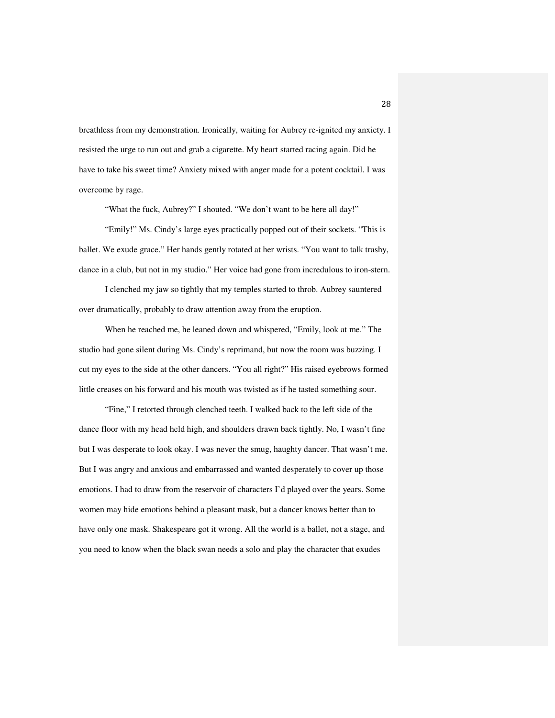breathless from my demonstration. Ironically, waiting for Aubrey re-ignited my anxiety. I resisted the urge to run out and grab a cigarette. My heart started racing again. Did he have to take his sweet time? Anxiety mixed with anger made for a potent cocktail. I was overcome by rage.

"What the fuck, Aubrey?" I shouted. "We don't want to be here all day!"

 "Emily!" Ms. Cindy's large eyes practically popped out of their sockets. "This is ballet. We exude grace." Her hands gently rotated at her wrists. "You want to talk trashy, dance in a club, but not in my studio." Her voice had gone from incredulous to iron-stern.

 I clenched my jaw so tightly that my temples started to throb. Aubrey sauntered over dramatically, probably to draw attention away from the eruption.

 When he reached me, he leaned down and whispered, "Emily, look at me." The studio had gone silent during Ms. Cindy's reprimand, but now the room was buzzing. I cut my eyes to the side at the other dancers. "You all right?" His raised eyebrows formed little creases on his forward and his mouth was twisted as if he tasted something sour.

 "Fine," I retorted through clenched teeth. I walked back to the left side of the dance floor with my head held high, and shoulders drawn back tightly. No, I wasn't fine but I was desperate to look okay. I was never the smug, haughty dancer. That wasn't me. But I was angry and anxious and embarrassed and wanted desperately to cover up those emotions. I had to draw from the reservoir of characters I'd played over the years. Some women may hide emotions behind a pleasant mask, but a dancer knows better than to have only one mask. Shakespeare got it wrong. All the world is a ballet, not a stage, and you need to know when the black swan needs a solo and play the character that exudes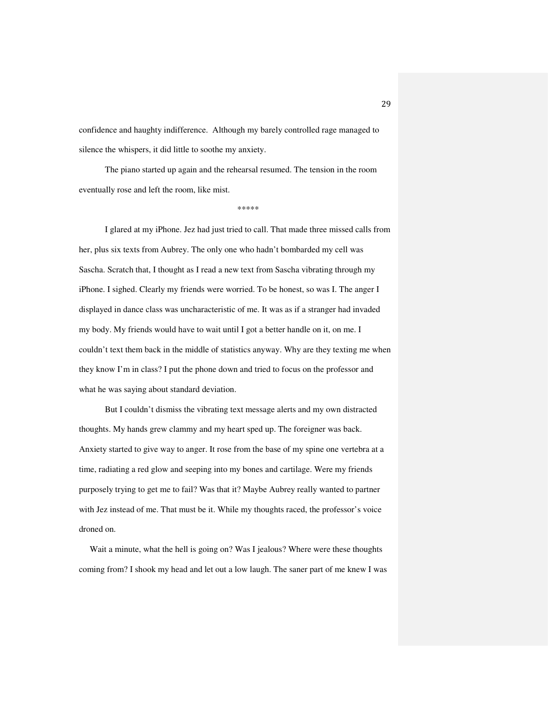confidence and haughty indifference. Although my barely controlled rage managed to silence the whispers, it did little to soothe my anxiety.

 The piano started up again and the rehearsal resumed. The tension in the room eventually rose and left the room, like mist.

#### \*\*\*\*\*

I glared at my iPhone. Jez had just tried to call. That made three missed calls from her, plus six texts from Aubrey. The only one who hadn't bombarded my cell was Sascha. Scratch that, I thought as I read a new text from Sascha vibrating through my iPhone. I sighed. Clearly my friends were worried. To be honest, so was I. The anger I displayed in dance class was uncharacteristic of me. It was as if a stranger had invaded my body. My friends would have to wait until I got a better handle on it, on me. I couldn't text them back in the middle of statistics anyway. Why are they texting me when they know I'm in class? I put the phone down and tried to focus on the professor and what he was saying about standard deviation.

But I couldn't dismiss the vibrating text message alerts and my own distracted thoughts. My hands grew clammy and my heart sped up. The foreigner was back. Anxiety started to give way to anger. It rose from the base of my spine one vertebra at a time, radiating a red glow and seeping into my bones and cartilage. Were my friends purposely trying to get me to fail? Was that it? Maybe Aubrey really wanted to partner with Jez instead of me. That must be it. While my thoughts raced, the professor's voice droned on.

 Wait a minute, what the hell is going on? Was I jealous? Where were these thoughts coming from? I shook my head and let out a low laugh. The saner part of me knew I was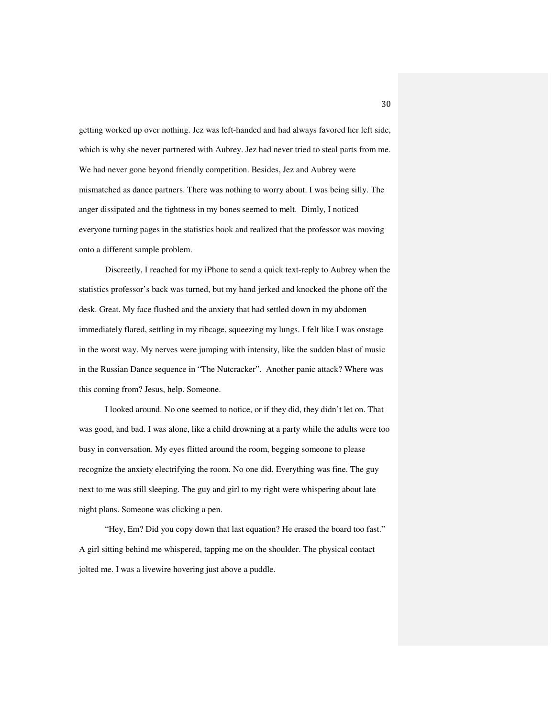getting worked up over nothing. Jez was left-handed and had always favored her left side, which is why she never partnered with Aubrey. Jez had never tried to steal parts from me. We had never gone beyond friendly competition. Besides, Jez and Aubrey were mismatched as dance partners. There was nothing to worry about. I was being silly. The anger dissipated and the tightness in my bones seemed to melt. Dimly, I noticed everyone turning pages in the statistics book and realized that the professor was moving onto a different sample problem.

Discreetly, I reached for my iPhone to send a quick text-reply to Aubrey when the statistics professor's back was turned, but my hand jerked and knocked the phone off the desk. Great. My face flushed and the anxiety that had settled down in my abdomen immediately flared, settling in my ribcage, squeezing my lungs. I felt like I was onstage in the worst way. My nerves were jumping with intensity, like the sudden blast of music in the Russian Dance sequence in "The Nutcracker". Another panic attack? Where was this coming from? Jesus, help. Someone.

I looked around. No one seemed to notice, or if they did, they didn't let on. That was good, and bad. I was alone, like a child drowning at a party while the adults were too busy in conversation. My eyes flitted around the room, begging someone to please recognize the anxiety electrifying the room. No one did. Everything was fine. The guy next to me was still sleeping. The guy and girl to my right were whispering about late night plans. Someone was clicking a pen.

"Hey, Em? Did you copy down that last equation? He erased the board too fast." A girl sitting behind me whispered, tapping me on the shoulder. The physical contact jolted me. I was a livewire hovering just above a puddle.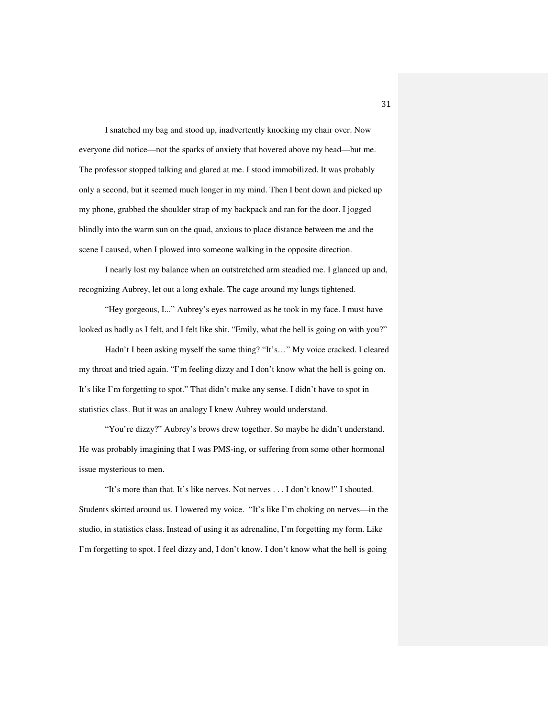I snatched my bag and stood up, inadvertently knocking my chair over. Now everyone did notice—not the sparks of anxiety that hovered above my head—but me. The professor stopped talking and glared at me. I stood immobilized. It was probably only a second, but it seemed much longer in my mind. Then I bent down and picked up my phone, grabbed the shoulder strap of my backpack and ran for the door. I jogged blindly into the warm sun on the quad, anxious to place distance between me and the scene I caused, when I plowed into someone walking in the opposite direction.

 I nearly lost my balance when an outstretched arm steadied me. I glanced up and, recognizing Aubrey, let out a long exhale. The cage around my lungs tightened.

 "Hey gorgeous, I..." Aubrey's eyes narrowed as he took in my face. I must have looked as badly as I felt, and I felt like shit. "Emily, what the hell is going on with you?"

Hadn't I been asking myself the same thing? "It's..." My voice cracked. I cleared my throat and tried again. "I'm feeling dizzy and I don't know what the hell is going on. It's like I'm forgetting to spot." That didn't make any sense. I didn't have to spot in statistics class. But it was an analogy I knew Aubrey would understand.

 "You're dizzy?" Aubrey's brows drew together. So maybe he didn't understand. He was probably imagining that I was PMS-ing, or suffering from some other hormonal issue mysterious to men.

 "It's more than that. It's like nerves. Not nerves . . . I don't know!" I shouted. Students skirted around us. I lowered my voice. "It's like I'm choking on nerves—in the studio, in statistics class. Instead of using it as adrenaline, I'm forgetting my form. Like I'm forgetting to spot. I feel dizzy and, I don't know. I don't know what the hell is going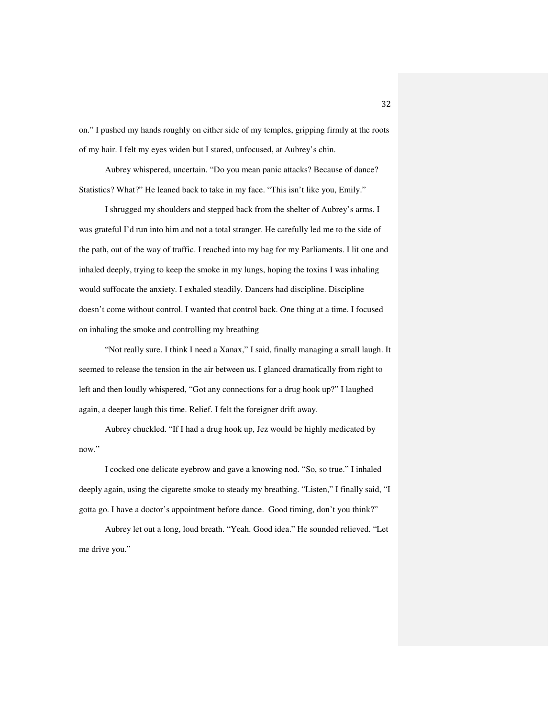on." I pushed my hands roughly on either side of my temples, gripping firmly at the roots of my hair. I felt my eyes widen but I stared, unfocused, at Aubrey's chin.

 Aubrey whispered, uncertain. "Do you mean panic attacks? Because of dance? Statistics? What?" He leaned back to take in my face. "This isn't like you, Emily."

 I shrugged my shoulders and stepped back from the shelter of Aubrey's arms. I was grateful I'd run into him and not a total stranger. He carefully led me to the side of the path, out of the way of traffic. I reached into my bag for my Parliaments. I lit one and inhaled deeply, trying to keep the smoke in my lungs, hoping the toxins I was inhaling would suffocate the anxiety. I exhaled steadily. Dancers had discipline. Discipline doesn't come without control. I wanted that control back. One thing at a time. I focused on inhaling the smoke and controlling my breathing

 "Not really sure. I think I need a Xanax," I said, finally managing a small laugh. It seemed to release the tension in the air between us. I glanced dramatically from right to left and then loudly whispered, "Got any connections for a drug hook up?" I laughed again, a deeper laugh this time. Relief. I felt the foreigner drift away.

Aubrey chuckled. "If I had a drug hook up, Jez would be highly medicated by now."

I cocked one delicate eyebrow and gave a knowing nod. "So, so true." I inhaled deeply again, using the cigarette smoke to steady my breathing. "Listen," I finally said, "I gotta go. I have a doctor's appointment before dance. Good timing, don't you think?"

 Aubrey let out a long, loud breath. "Yeah. Good idea." He sounded relieved. "Let me drive you."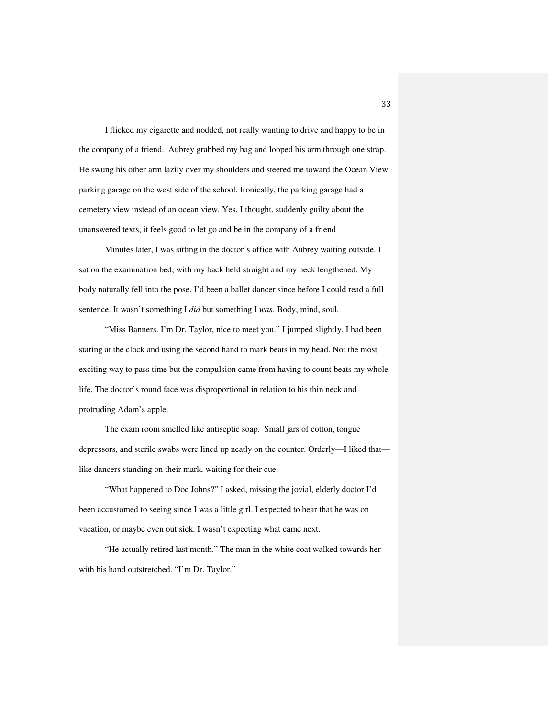I flicked my cigarette and nodded, not really wanting to drive and happy to be in the company of a friend. Aubrey grabbed my bag and looped his arm through one strap. He swung his other arm lazily over my shoulders and steered me toward the Ocean View parking garage on the west side of the school. Ironically, the parking garage had a cemetery view instead of an ocean view. Yes, I thought, suddenly guilty about the unanswered texts, it feels good to let go and be in the company of a friend

Minutes later, I was sitting in the doctor's office with Aubrey waiting outside. I sat on the examination bed, with my back held straight and my neck lengthened. My body naturally fell into the pose. I'd been a ballet dancer since before I could read a full sentence. It wasn't something I *did* but something I *was*. Body, mind, soul.

"Miss Banners. I'm Dr. Taylor, nice to meet you." I jumped slightly. I had been staring at the clock and using the second hand to mark beats in my head. Not the most exciting way to pass time but the compulsion came from having to count beats my whole life. The doctor's round face was disproportional in relation to his thin neck and protruding Adam's apple.

The exam room smelled like antiseptic soap. Small jars of cotton, tongue depressors, and sterile swabs were lined up neatly on the counter. Orderly—I liked that like dancers standing on their mark, waiting for their cue.

"What happened to Doc Johns?" I asked, missing the jovial, elderly doctor I'd been accustomed to seeing since I was a little girl. I expected to hear that he was on vacation, or maybe even out sick. I wasn't expecting what came next.

"He actually retired last month." The man in the white coat walked towards her with his hand outstretched. "I'm Dr. Taylor."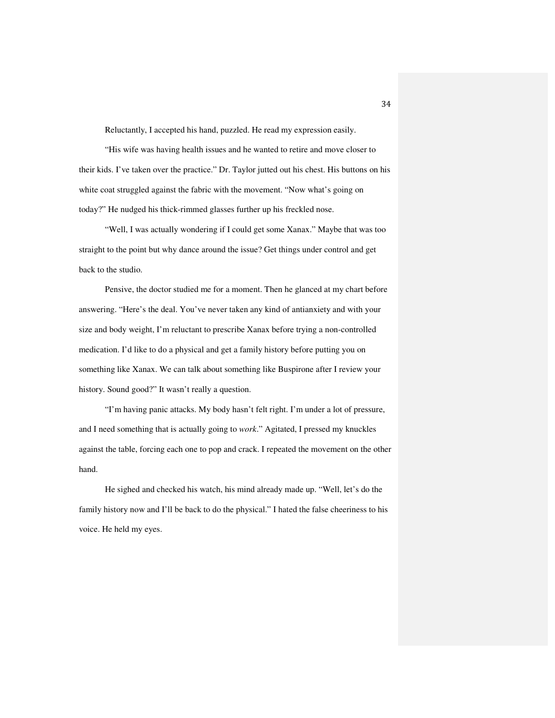Reluctantly, I accepted his hand, puzzled. He read my expression easily.

"His wife was having health issues and he wanted to retire and move closer to their kids. I've taken over the practice." Dr. Taylor jutted out his chest. His buttons on his white coat struggled against the fabric with the movement. "Now what's going on today?" He nudged his thick-rimmed glasses further up his freckled nose.

"Well, I was actually wondering if I could get some Xanax." Maybe that was too straight to the point but why dance around the issue? Get things under control and get back to the studio.

Pensive, the doctor studied me for a moment. Then he glanced at my chart before answering. "Here's the deal. You've never taken any kind of antianxiety and with your size and body weight, I'm reluctant to prescribe Xanax before trying a non-controlled medication. I'd like to do a physical and get a family history before putting you on something like Xanax. We can talk about something like Buspirone after I review your history. Sound good?" It wasn't really a question.

"I'm having panic attacks. My body hasn't felt right. I'm under a lot of pressure, and I need something that is actually going to *work*." Agitated, I pressed my knuckles against the table, forcing each one to pop and crack. I repeated the movement on the other hand.

He sighed and checked his watch, his mind already made up. "Well, let's do the family history now and I'll be back to do the physical." I hated the false cheeriness to his voice. He held my eyes.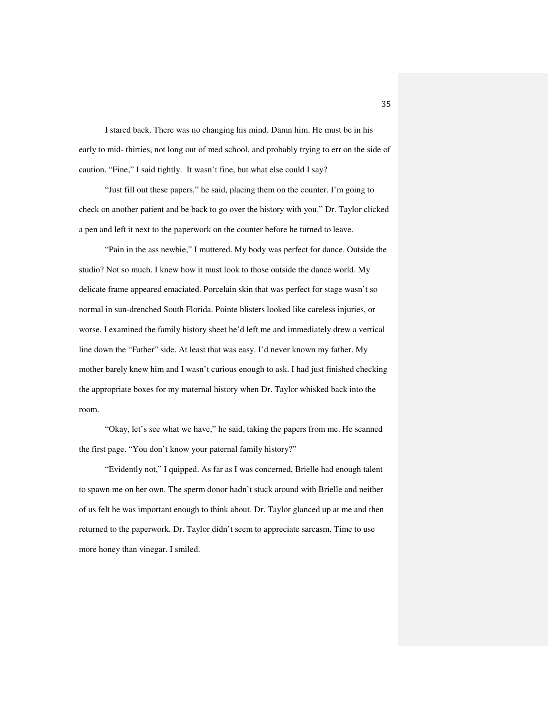I stared back. There was no changing his mind. Damn him. He must be in his early to mid- thirties, not long out of med school, and probably trying to err on the side of caution. "Fine," I said tightly. It wasn't fine, but what else could I say?

"Just fill out these papers," he said, placing them on the counter. I'm going to check on another patient and be back to go over the history with you." Dr. Taylor clicked a pen and left it next to the paperwork on the counter before he turned to leave.

"Pain in the ass newbie," I muttered. My body was perfect for dance. Outside the studio? Not so much. I knew how it must look to those outside the dance world. My delicate frame appeared emaciated. Porcelain skin that was perfect for stage wasn't so normal in sun-drenched South Florida. Pointe blisters looked like careless injuries, or worse. I examined the family history sheet he'd left me and immediately drew a vertical line down the "Father" side. At least that was easy. I'd never known my father. My mother barely knew him and I wasn't curious enough to ask. I had just finished checking the appropriate boxes for my maternal history when Dr. Taylor whisked back into the room.

"Okay, let's see what we have," he said, taking the papers from me. He scanned the first page. "You don't know your paternal family history?"

"Evidently not," I quipped. As far as I was concerned, Brielle had enough talent to spawn me on her own. The sperm donor hadn't stuck around with Brielle and neither of us felt he was important enough to think about. Dr. Taylor glanced up at me and then returned to the paperwork. Dr. Taylor didn't seem to appreciate sarcasm. Time to use more honey than vinegar. I smiled.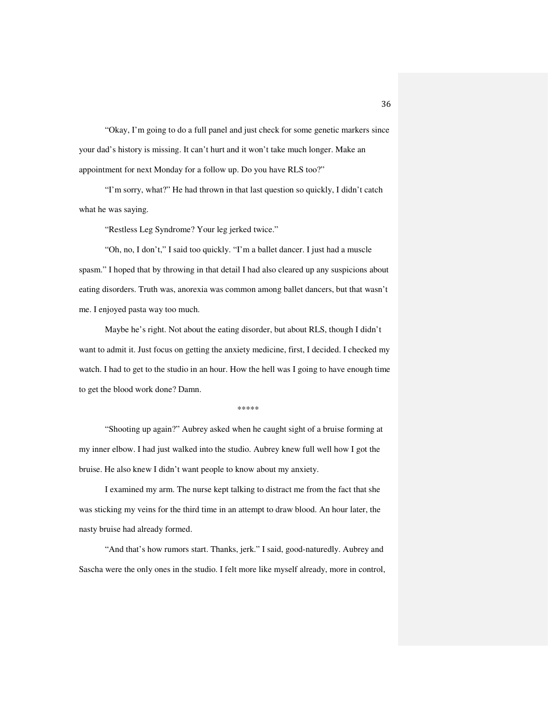"Okay, I'm going to do a full panel and just check for some genetic markers since your dad's history is missing. It can't hurt and it won't take much longer. Make an appointment for next Monday for a follow up. Do you have RLS too?"

"I'm sorry, what?" He had thrown in that last question so quickly, I didn't catch what he was saying.

"Restless Leg Syndrome? Your leg jerked twice."

"Oh, no, I don't," I said too quickly. "I'm a ballet dancer. I just had a muscle spasm." I hoped that by throwing in that detail I had also cleared up any suspicions about eating disorders. Truth was, anorexia was common among ballet dancers, but that wasn't me. I enjoyed pasta way too much.

Maybe he's right. Not about the eating disorder, but about RLS, though I didn't want to admit it. Just focus on getting the anxiety medicine, first, I decided. I checked my watch. I had to get to the studio in an hour. How the hell was I going to have enough time to get the blood work done? Damn.

\*\*\*\*\*

"Shooting up again?" Aubrey asked when he caught sight of a bruise forming at my inner elbow. I had just walked into the studio. Aubrey knew full well how I got the bruise. He also knew I didn't want people to know about my anxiety.

I examined my arm. The nurse kept talking to distract me from the fact that she was sticking my veins for the third time in an attempt to draw blood. An hour later, the nasty bruise had already formed.

"And that's how rumors start. Thanks, jerk." I said, good-naturedly. Aubrey and Sascha were the only ones in the studio. I felt more like myself already, more in control,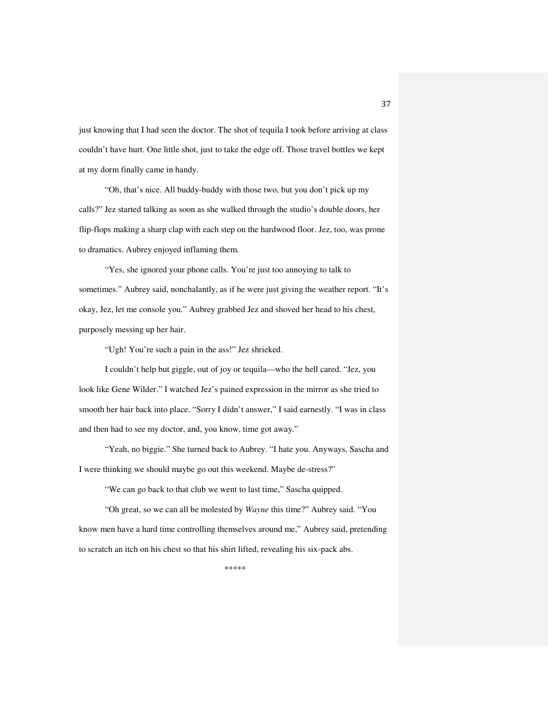just knowing that I had seen the doctor. The shot of tequila I took before arriving at class couldn't have hurt. One little shot, just to take the edge off. Those travel bottles we kept at my dorm finally came in handy.

"Oh, that's nice. All buddy-buddy with those two, but you don't pick up my calls?" Jez started talking as soon as she walked through the studio's double doors, her flip-flops making a sharp clap with each step on the hardwood floor. Jez, too, was prone to dramatics. Aubrey enjoyed inflaming them.

"Yes, she ignored your phone calls. You're just too annoying to talk to sometimes." Aubrey said, nonchalantly, as if he were just giving the weather report. "It's okay, Jez, let me console you." Aubrey grabbed Jez and shoved her head to his chest, purposely messing up her hair.

"Ugh! You're such a pain in the ass!" Jez shrieked.

I couldn't help but giggle, out of joy or tequila—who the hell cared. "Jez, you look like Gene Wilder." I watched Jez's pained expression in the mirror as she tried to smooth her hair back into place. "Sorry I didn't answer," I said earnestly. "I was in class and then had to see my doctor, and, you know, time got away."

"Yeah, no biggie." She turned back to Aubrey. "I hate you. Anyways, Sascha and I were thinking we should maybe go out this weekend. Maybe de-stress?"

"We can go back to that club we went to last time," Sascha quipped.

"Oh great, so we can all be molested by *Wayne* this time?" Aubrey said. "You know men have a hard time controlling themselves around me," Aubrey said, pretending to scratch an itch on his chest so that his shirt lifted, revealing his six-pack abs.

\*\*\*\*\*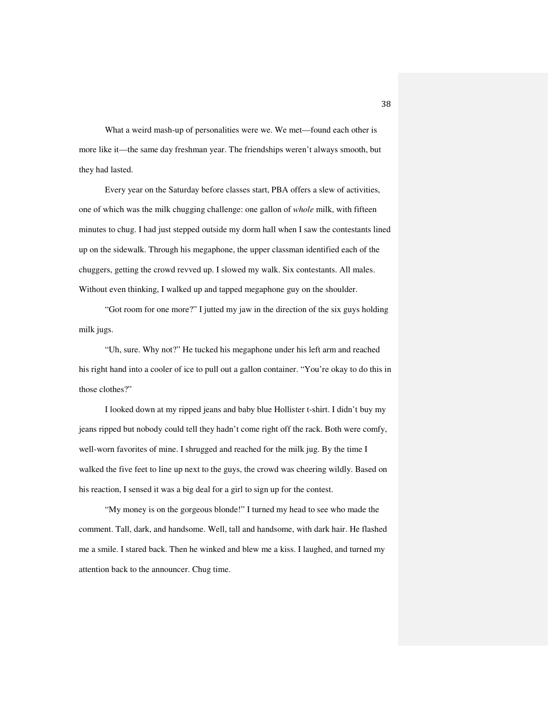What a weird mash-up of personalities were we. We met—found each other is more like it—the same day freshman year. The friendships weren't always smooth, but they had lasted.

Every year on the Saturday before classes start, PBA offers a slew of activities, one of which was the milk chugging challenge: one gallon of *whole* milk, with fifteen minutes to chug. I had just stepped outside my dorm hall when I saw the contestants lined up on the sidewalk. Through his megaphone, the upper classman identified each of the chuggers, getting the crowd revved up. I slowed my walk. Six contestants. All males. Without even thinking, I walked up and tapped megaphone guy on the shoulder.

"Got room for one more?" I jutted my jaw in the direction of the six guys holding milk jugs.

"Uh, sure. Why not?" He tucked his megaphone under his left arm and reached his right hand into a cooler of ice to pull out a gallon container. "You're okay to do this in those clothes?"

I looked down at my ripped jeans and baby blue Hollister t-shirt. I didn't buy my jeans ripped but nobody could tell they hadn't come right off the rack. Both were comfy, well-worn favorites of mine. I shrugged and reached for the milk jug. By the time I walked the five feet to line up next to the guys, the crowd was cheering wildly. Based on his reaction, I sensed it was a big deal for a girl to sign up for the contest.

"My money is on the gorgeous blonde!" I turned my head to see who made the comment. Tall, dark, and handsome. Well, tall and handsome, with dark hair. He flashed me a smile. I stared back. Then he winked and blew me a kiss. I laughed, and turned my attention back to the announcer. Chug time.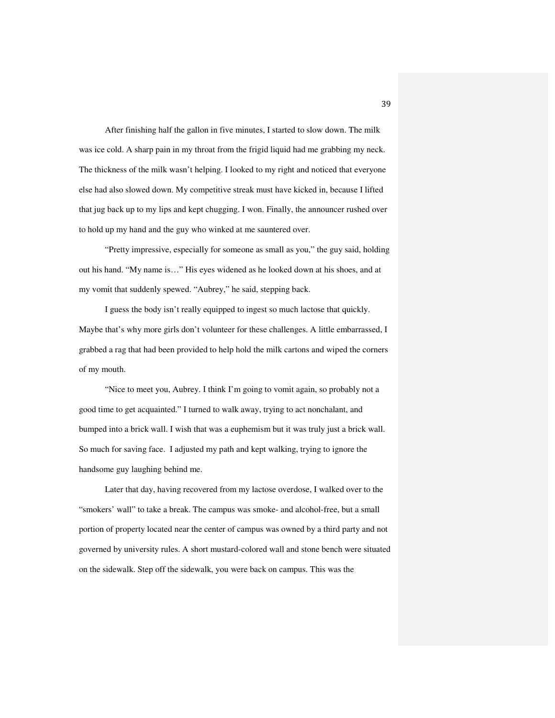After finishing half the gallon in five minutes, I started to slow down. The milk was ice cold. A sharp pain in my throat from the frigid liquid had me grabbing my neck. The thickness of the milk wasn't helping. I looked to my right and noticed that everyone else had also slowed down. My competitive streak must have kicked in, because I lifted that jug back up to my lips and kept chugging. I won. Finally, the announcer rushed over to hold up my hand and the guy who winked at me sauntered over.

"Pretty impressive, especially for someone as small as you," the guy said, holding out his hand. "My name is…" His eyes widened as he looked down at his shoes, and at my vomit that suddenly spewed. "Aubrey," he said, stepping back.

I guess the body isn't really equipped to ingest so much lactose that quickly. Maybe that's why more girls don't volunteer for these challenges. A little embarrassed, I grabbed a rag that had been provided to help hold the milk cartons and wiped the corners of my mouth.

"Nice to meet you, Aubrey. I think I'm going to vomit again, so probably not a good time to get acquainted." I turned to walk away, trying to act nonchalant, and bumped into a brick wall. I wish that was a euphemism but it was truly just a brick wall. So much for saving face. I adjusted my path and kept walking, trying to ignore the handsome guy laughing behind me.

Later that day, having recovered from my lactose overdose, I walked over to the "smokers' wall" to take a break. The campus was smoke- and alcohol-free, but a small portion of property located near the center of campus was owned by a third party and not governed by university rules. A short mustard-colored wall and stone bench were situated on the sidewalk. Step off the sidewalk, you were back on campus. This was the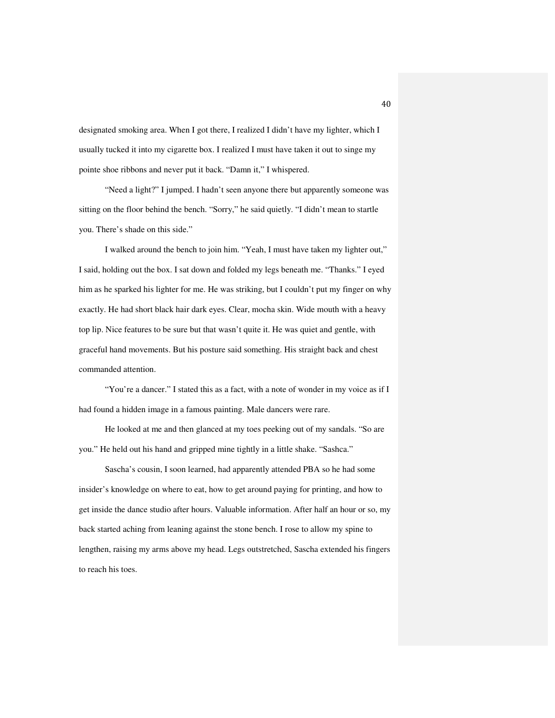designated smoking area. When I got there, I realized I didn't have my lighter, which I usually tucked it into my cigarette box. I realized I must have taken it out to singe my pointe shoe ribbons and never put it back. "Damn it," I whispered.

"Need a light?" I jumped. I hadn't seen anyone there but apparently someone was sitting on the floor behind the bench. "Sorry," he said quietly. "I didn't mean to startle you. There's shade on this side."

I walked around the bench to join him. "Yeah, I must have taken my lighter out," I said, holding out the box. I sat down and folded my legs beneath me. "Thanks." I eyed him as he sparked his lighter for me. He was striking, but I couldn't put my finger on why exactly. He had short black hair dark eyes. Clear, mocha skin. Wide mouth with a heavy top lip. Nice features to be sure but that wasn't quite it. He was quiet and gentle, with graceful hand movements. But his posture said something. His straight back and chest commanded attention.

"You're a dancer." I stated this as a fact, with a note of wonder in my voice as if I had found a hidden image in a famous painting. Male dancers were rare.

He looked at me and then glanced at my toes peeking out of my sandals. "So are you." He held out his hand and gripped mine tightly in a little shake. "Sashca."

Sascha's cousin, I soon learned, had apparently attended PBA so he had some insider's knowledge on where to eat, how to get around paying for printing, and how to get inside the dance studio after hours. Valuable information. After half an hour or so, my back started aching from leaning against the stone bench. I rose to allow my spine to lengthen, raising my arms above my head. Legs outstretched, Sascha extended his fingers to reach his toes.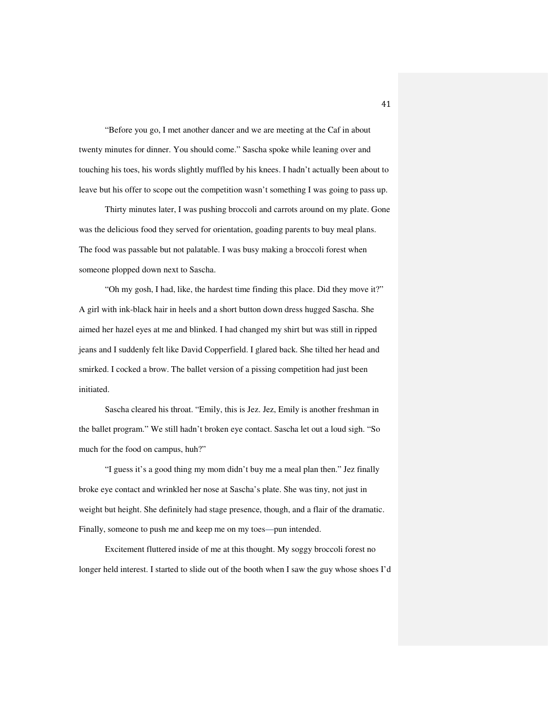"Before you go, I met another dancer and we are meeting at the Caf in about twenty minutes for dinner. You should come." Sascha spoke while leaning over and touching his toes, his words slightly muffled by his knees. I hadn't actually been about to leave but his offer to scope out the competition wasn't something I was going to pass up.

Thirty minutes later, I was pushing broccoli and carrots around on my plate. Gone was the delicious food they served for orientation, goading parents to buy meal plans. The food was passable but not palatable. I was busy making a broccoli forest when someone plopped down next to Sascha.

"Oh my gosh, I had, like, the hardest time finding this place. Did they move it?" A girl with ink-black hair in heels and a short button down dress hugged Sascha. She aimed her hazel eyes at me and blinked. I had changed my shirt but was still in ripped jeans and I suddenly felt like David Copperfield. I glared back. She tilted her head and smirked. I cocked a brow. The ballet version of a pissing competition had just been initiated.

Sascha cleared his throat. "Emily, this is Jez. Jez, Emily is another freshman in the ballet program." We still hadn't broken eye contact. Sascha let out a loud sigh. "So much for the food on campus, huh?"

"I guess it's a good thing my mom didn't buy me a meal plan then." Jez finally broke eye contact and wrinkled her nose at Sascha's plate. She was tiny, not just in weight but height. She definitely had stage presence, though, and a flair of the dramatic. Finally, someone to push me and keep me on my toes—pun intended.

Excitement fluttered inside of me at this thought. My soggy broccoli forest no longer held interest. I started to slide out of the booth when I saw the guy whose shoes I'd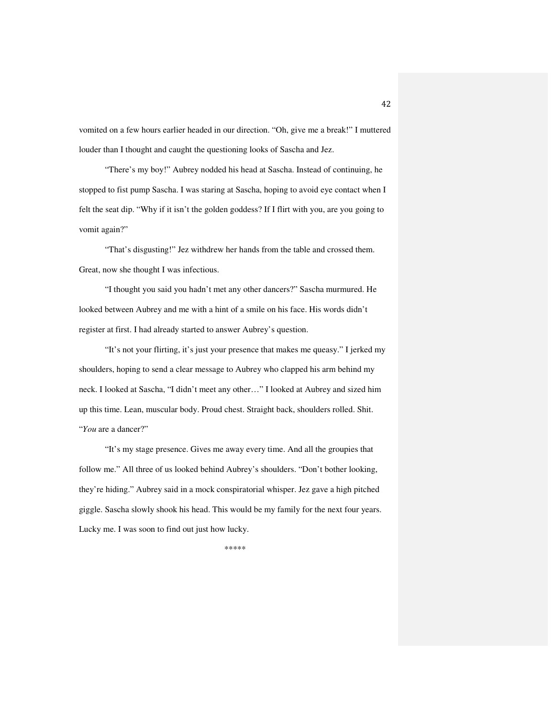vomited on a few hours earlier headed in our direction. "Oh, give me a break!" I muttered louder than I thought and caught the questioning looks of Sascha and Jez.

"There's my boy!" Aubrey nodded his head at Sascha. Instead of continuing, he stopped to fist pump Sascha. I was staring at Sascha, hoping to avoid eye contact when I felt the seat dip. "Why if it isn't the golden goddess? If I flirt with you, are you going to vomit again?"

"That's disgusting!" Jez withdrew her hands from the table and crossed them. Great, now she thought I was infectious.

"I thought you said you hadn't met any other dancers?" Sascha murmured. He looked between Aubrey and me with a hint of a smile on his face. His words didn't register at first. I had already started to answer Aubrey's question.

"It's not your flirting, it's just your presence that makes me queasy." I jerked my shoulders, hoping to send a clear message to Aubrey who clapped his arm behind my neck. I looked at Sascha, "I didn't meet any other…" I looked at Aubrey and sized him up this time. Lean, muscular body. Proud chest. Straight back, shoulders rolled. Shit. "*You* are a dancer?"

"It's my stage presence. Gives me away every time. And all the groupies that follow me." All three of us looked behind Aubrey's shoulders. "Don't bother looking, they're hiding." Aubrey said in a mock conspiratorial whisper. Jez gave a high pitched giggle. Sascha slowly shook his head. This would be my family for the next four years. Lucky me. I was soon to find out just how lucky.

\*\*\*\*\*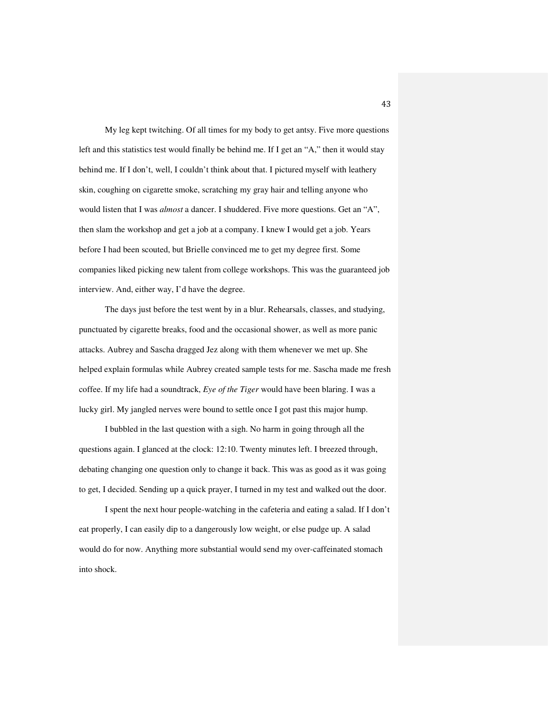My leg kept twitching. Of all times for my body to get antsy. Five more questions left and this statistics test would finally be behind me. If I get an "A," then it would stay behind me. If I don't, well, I couldn't think about that. I pictured myself with leathery skin, coughing on cigarette smoke, scratching my gray hair and telling anyone who would listen that I was *almost* a dancer. I shuddered. Five more questions. Get an "A", then slam the workshop and get a job at a company. I knew I would get a job. Years before I had been scouted, but Brielle convinced me to get my degree first. Some companies liked picking new talent from college workshops. This was the guaranteed job interview. And, either way, I'd have the degree.

 The days just before the test went by in a blur. Rehearsals, classes, and studying, punctuated by cigarette breaks, food and the occasional shower, as well as more panic attacks. Aubrey and Sascha dragged Jez along with them whenever we met up. She helped explain formulas while Aubrey created sample tests for me. Sascha made me fresh coffee. If my life had a soundtrack, *Eye of the Tiger* would have been blaring. I was a lucky girl. My jangled nerves were bound to settle once I got past this major hump.

 I bubbled in the last question with a sigh. No harm in going through all the questions again. I glanced at the clock: 12:10. Twenty minutes left. I breezed through, debating changing one question only to change it back. This was as good as it was going to get, I decided. Sending up a quick prayer, I turned in my test and walked out the door.

 I spent the next hour people-watching in the cafeteria and eating a salad. If I don't eat properly, I can easily dip to a dangerously low weight, or else pudge up. A salad would do for now. Anything more substantial would send my over-caffeinated stomach into shock.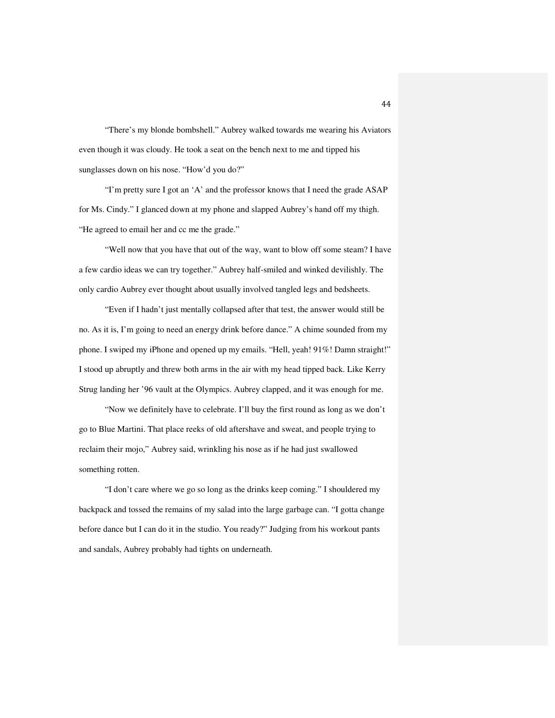"There's my blonde bombshell." Aubrey walked towards me wearing his Aviators even though it was cloudy. He took a seat on the bench next to me and tipped his sunglasses down on his nose. "How'd you do?"

 "I'm pretty sure I got an 'A' and the professor knows that I need the grade ASAP for Ms. Cindy." I glanced down at my phone and slapped Aubrey's hand off my thigh. "He agreed to email her and cc me the grade."

 "Well now that you have that out of the way, want to blow off some steam? I have a few cardio ideas we can try together." Aubrey half-smiled and winked devilishly. The only cardio Aubrey ever thought about usually involved tangled legs and bedsheets.

 "Even if I hadn't just mentally collapsed after that test, the answer would still be no. As it is, I'm going to need an energy drink before dance." A chime sounded from my phone. I swiped my iPhone and opened up my emails. "Hell, yeah! 91%! Damn straight!" I stood up abruptly and threw both arms in the air with my head tipped back. Like Kerry Strug landing her '96 vault at the Olympics. Aubrey clapped, and it was enough for me.

 "Now we definitely have to celebrate. I'll buy the first round as long as we don't go to Blue Martini. That place reeks of old aftershave and sweat, and people trying to reclaim their mojo," Aubrey said, wrinkling his nose as if he had just swallowed something rotten.

 "I don't care where we go so long as the drinks keep coming." I shouldered my backpack and tossed the remains of my salad into the large garbage can. "I gotta change before dance but I can do it in the studio. You ready?" Judging from his workout pants and sandals, Aubrey probably had tights on underneath.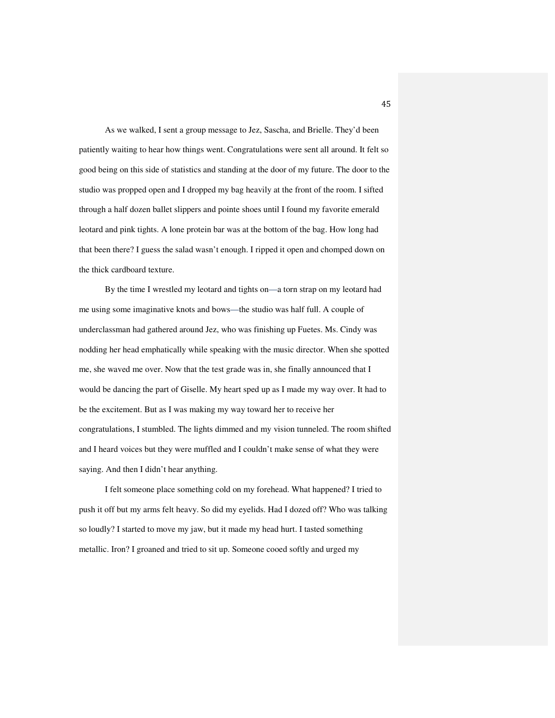As we walked, I sent a group message to Jez, Sascha, and Brielle. They'd been patiently waiting to hear how things went. Congratulations were sent all around. It felt so good being on this side of statistics and standing at the door of my future. The door to the studio was propped open and I dropped my bag heavily at the front of the room. I sifted through a half dozen ballet slippers and pointe shoes until I found my favorite emerald leotard and pink tights. A lone protein bar was at the bottom of the bag. How long had that been there? I guess the salad wasn't enough. I ripped it open and chomped down on the thick cardboard texture.

 By the time I wrestled my leotard and tights on—a torn strap on my leotard had me using some imaginative knots and bows—the studio was half full. A couple of underclassman had gathered around Jez, who was finishing up Fuetes. Ms. Cindy was nodding her head emphatically while speaking with the music director. When she spotted me, she waved me over. Now that the test grade was in, she finally announced that I would be dancing the part of Giselle. My heart sped up as I made my way over. It had to be the excitement. But as I was making my way toward her to receive her congratulations, I stumbled. The lights dimmed and my vision tunneled. The room shifted and I heard voices but they were muffled and I couldn't make sense of what they were saying. And then I didn't hear anything.

 I felt someone place something cold on my forehead. What happened? I tried to push it off but my arms felt heavy. So did my eyelids. Had I dozed off? Who was talking so loudly? I started to move my jaw, but it made my head hurt. I tasted something metallic. Iron? I groaned and tried to sit up. Someone cooed softly and urged my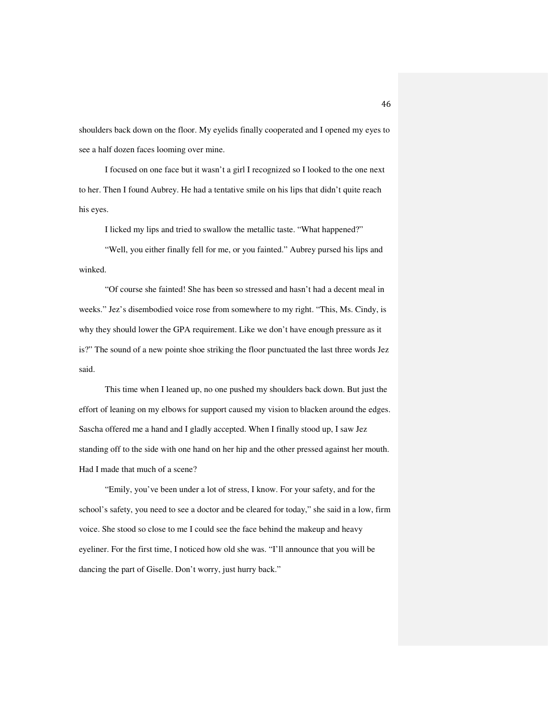shoulders back down on the floor. My eyelids finally cooperated and I opened my eyes to see a half dozen faces looming over mine.

 I focused on one face but it wasn't a girl I recognized so I looked to the one next to her. Then I found Aubrey. He had a tentative smile on his lips that didn't quite reach his eyes.

I licked my lips and tried to swallow the metallic taste. "What happened?"

 "Well, you either finally fell for me, or you fainted." Aubrey pursed his lips and winked.

 "Of course she fainted! She has been so stressed and hasn't had a decent meal in weeks." Jez's disembodied voice rose from somewhere to my right. "This, Ms. Cindy, is why they should lower the GPA requirement. Like we don't have enough pressure as it is?" The sound of a new pointe shoe striking the floor punctuated the last three words Jez said.

 This time when I leaned up, no one pushed my shoulders back down. But just the effort of leaning on my elbows for support caused my vision to blacken around the edges. Sascha offered me a hand and I gladly accepted. When I finally stood up, I saw Jez standing off to the side with one hand on her hip and the other pressed against her mouth. Had I made that much of a scene?

"Emily, you've been under a lot of stress, I know. For your safety, and for the school's safety, you need to see a doctor and be cleared for today," she said in a low, firm voice. She stood so close to me I could see the face behind the makeup and heavy eyeliner. For the first time, I noticed how old she was. "I'll announce that you will be dancing the part of Giselle. Don't worry, just hurry back."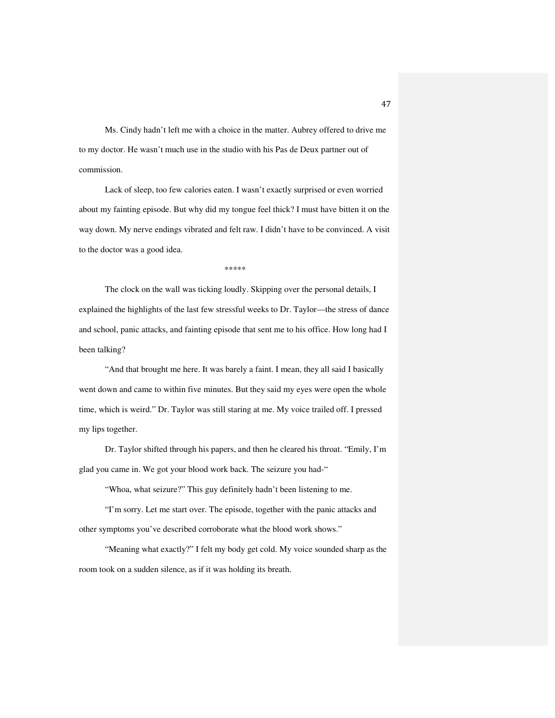Ms. Cindy hadn't left me with a choice in the matter. Aubrey offered to drive me to my doctor. He wasn't much use in the studio with his Pas de Deux partner out of commission.

 Lack of sleep, too few calories eaten. I wasn't exactly surprised or even worried about my fainting episode. But why did my tongue feel thick? I must have bitten it on the way down. My nerve endings vibrated and felt raw. I didn't have to be convinced. A visit to the doctor was a good idea.

\*\*\*\*\*

 The clock on the wall was ticking loudly. Skipping over the personal details, I explained the highlights of the last few stressful weeks to Dr. Taylor—the stress of dance and school, panic attacks, and fainting episode that sent me to his office. How long had I been talking?

"And that brought me here. It was barely a faint. I mean, they all said I basically went down and came to within five minutes. But they said my eyes were open the whole time, which is weird." Dr. Taylor was still staring at me. My voice trailed off. I pressed my lips together.

 Dr. Taylor shifted through his papers, and then he cleared his throat. "Emily, I'm glad you came in. We got your blood work back. The seizure you had-"

"Whoa, what seizure?" This guy definitely hadn't been listening to me.

 "I'm sorry. Let me start over. The episode, together with the panic attacks and other symptoms you've described corroborate what the blood work shows."

 "Meaning what exactly?" I felt my body get cold. My voice sounded sharp as the room took on a sudden silence, as if it was holding its breath.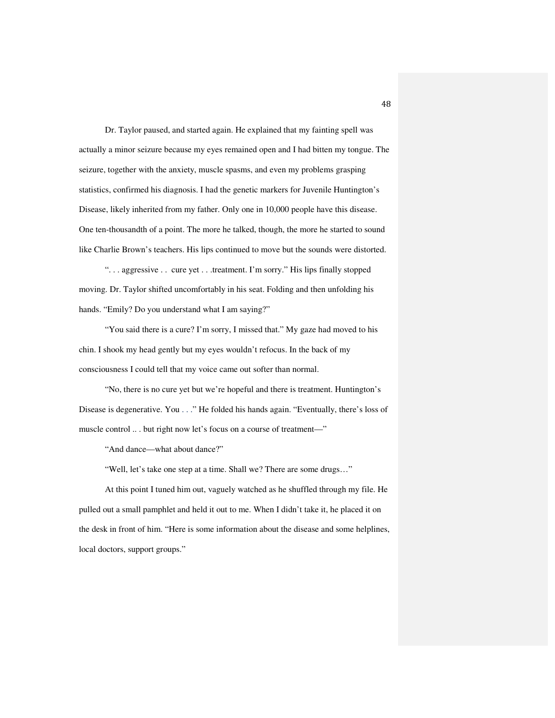Dr. Taylor paused, and started again. He explained that my fainting spell was actually a minor seizure because my eyes remained open and I had bitten my tongue. The seizure, together with the anxiety, muscle spasms, and even my problems grasping statistics, confirmed his diagnosis. I had the genetic markers for Juvenile Huntington's Disease, likely inherited from my father. Only one in 10,000 people have this disease. One ten-thousandth of a point. The more he talked, though, the more he started to sound like Charlie Brown's teachers. His lips continued to move but the sounds were distorted.

 ". . . aggressive . . cure yet . . .treatment. I'm sorry." His lips finally stopped moving. Dr. Taylor shifted uncomfortably in his seat. Folding and then unfolding his hands. "Emily? Do you understand what I am saying?"

"You said there is a cure? I'm sorry, I missed that." My gaze had moved to his chin. I shook my head gently but my eyes wouldn't refocus. In the back of my consciousness I could tell that my voice came out softer than normal.

 "No, there is no cure yet but we're hopeful and there is treatment. Huntington's Disease is degenerative. You . . ." He folded his hands again. "Eventually, there's loss of muscle control .. . but right now let's focus on a course of treatment—"

"And dance—what about dance?"

"Well, let's take one step at a time. Shall we? There are some drugs…"

At this point I tuned him out, vaguely watched as he shuffled through my file. He pulled out a small pamphlet and held it out to me. When I didn't take it, he placed it on the desk in front of him. "Here is some information about the disease and some helplines, local doctors, support groups."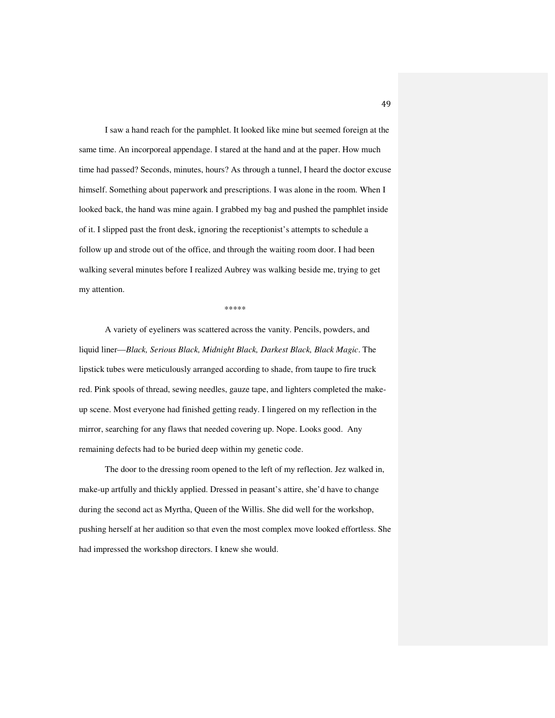I saw a hand reach for the pamphlet. It looked like mine but seemed foreign at the same time. An incorporeal appendage. I stared at the hand and at the paper. How much time had passed? Seconds, minutes, hours? As through a tunnel, I heard the doctor excuse himself. Something about paperwork and prescriptions. I was alone in the room. When I looked back, the hand was mine again. I grabbed my bag and pushed the pamphlet inside of it. I slipped past the front desk, ignoring the receptionist's attempts to schedule a follow up and strode out of the office, and through the waiting room door. I had been walking several minutes before I realized Aubrey was walking beside me, trying to get my attention.

\*\*\*\*\*

A variety of eyeliners was scattered across the vanity. Pencils, powders, and liquid liner—*Black, Serious Black, Midnight Black, Darkest Black, Black Magic*. The lipstick tubes were meticulously arranged according to shade, from taupe to fire truck red. Pink spools of thread, sewing needles, gauze tape, and lighters completed the makeup scene. Most everyone had finished getting ready. I lingered on my reflection in the mirror, searching for any flaws that needed covering up. Nope. Looks good. Any remaining defects had to be buried deep within my genetic code.

 The door to the dressing room opened to the left of my reflection. Jez walked in, make-up artfully and thickly applied. Dressed in peasant's attire, she'd have to change during the second act as Myrtha, Queen of the Willis. She did well for the workshop, pushing herself at her audition so that even the most complex move looked effortless. She had impressed the workshop directors. I knew she would.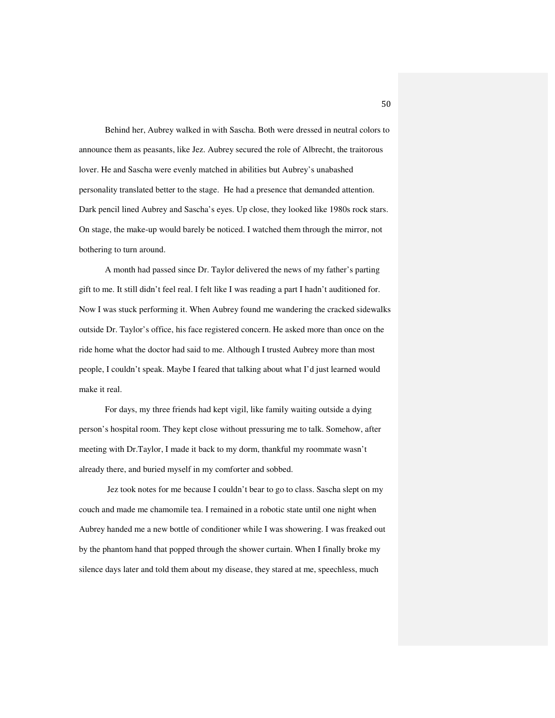Behind her, Aubrey walked in with Sascha. Both were dressed in neutral colors to announce them as peasants, like Jez. Aubrey secured the role of Albrecht, the traitorous lover. He and Sascha were evenly matched in abilities but Aubrey's unabashed personality translated better to the stage. He had a presence that demanded attention. Dark pencil lined Aubrey and Sascha's eyes. Up close, they looked like 1980s rock stars. On stage, the make-up would barely be noticed. I watched them through the mirror, not bothering to turn around.

 A month had passed since Dr. Taylor delivered the news of my father's parting gift to me. It still didn't feel real. I felt like I was reading a part I hadn't auditioned for. Now I was stuck performing it. When Aubrey found me wandering the cracked sidewalks outside Dr. Taylor's office, his face registered concern. He asked more than once on the ride home what the doctor had said to me. Although I trusted Aubrey more than most people, I couldn't speak. Maybe I feared that talking about what I'd just learned would make it real.

For days, my three friends had kept vigil, like family waiting outside a dying person's hospital room. They kept close without pressuring me to talk. Somehow, after meeting with Dr.Taylor, I made it back to my dorm, thankful my roommate wasn't already there, and buried myself in my comforter and sobbed.

 Jez took notes for me because I couldn't bear to go to class. Sascha slept on my couch and made me chamomile tea. I remained in a robotic state until one night when Aubrey handed me a new bottle of conditioner while I was showering. I was freaked out by the phantom hand that popped through the shower curtain. When I finally broke my silence days later and told them about my disease, they stared at me, speechless, much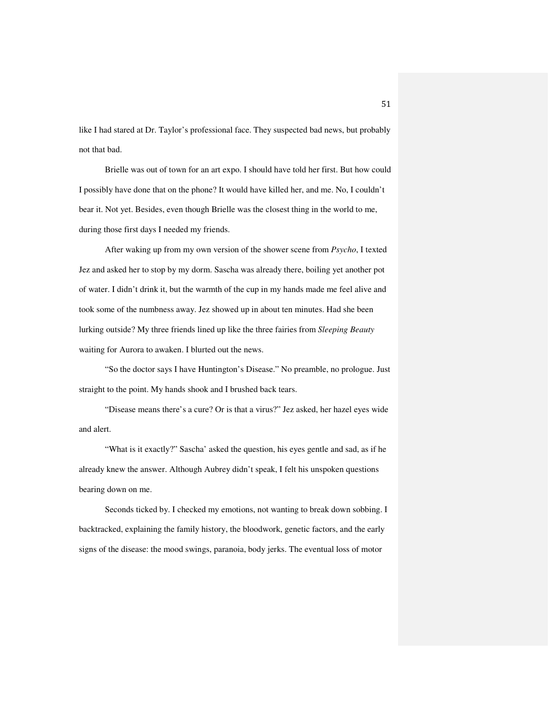like I had stared at Dr. Taylor's professional face. They suspected bad news, but probably not that bad.

Brielle was out of town for an art expo. I should have told her first. But how could I possibly have done that on the phone? It would have killed her, and me. No, I couldn't bear it. Not yet. Besides, even though Brielle was the closest thing in the world to me, during those first days I needed my friends.

After waking up from my own version of the shower scene from *Psycho*, I texted Jez and asked her to stop by my dorm. Sascha was already there, boiling yet another pot of water. I didn't drink it, but the warmth of the cup in my hands made me feel alive and took some of the numbness away. Jez showed up in about ten minutes. Had she been lurking outside? My three friends lined up like the three fairies from *Sleeping Beauty* waiting for Aurora to awaken. I blurted out the news.

"So the doctor says I have Huntington's Disease." No preamble, no prologue. Just straight to the point. My hands shook and I brushed back tears.

"Disease means there's a cure? Or is that a virus?" Jez asked, her hazel eyes wide and alert.

"What is it exactly?" Sascha' asked the question, his eyes gentle and sad, as if he already knew the answer. Although Aubrey didn't speak, I felt his unspoken questions bearing down on me.

Seconds ticked by. I checked my emotions, not wanting to break down sobbing. I backtracked, explaining the family history, the bloodwork, genetic factors, and the early signs of the disease: the mood swings, paranoia, body jerks. The eventual loss of motor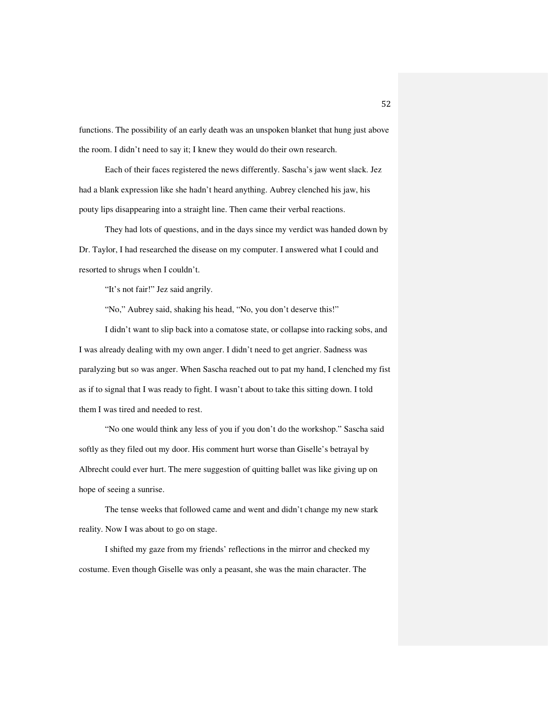functions. The possibility of an early death was an unspoken blanket that hung just above the room. I didn't need to say it; I knew they would do their own research.

Each of their faces registered the news differently. Sascha's jaw went slack. Jez had a blank expression like she hadn't heard anything. Aubrey clenched his jaw, his pouty lips disappearing into a straight line. Then came their verbal reactions.

They had lots of questions, and in the days since my verdict was handed down by Dr. Taylor, I had researched the disease on my computer. I answered what I could and resorted to shrugs when I couldn't.

"It's not fair!" Jez said angrily.

"No," Aubrey said, shaking his head, "No, you don't deserve this!"

I didn't want to slip back into a comatose state, or collapse into racking sobs, and I was already dealing with my own anger. I didn't need to get angrier. Sadness was paralyzing but so was anger. When Sascha reached out to pat my hand, I clenched my fist as if to signal that I was ready to fight. I wasn't about to take this sitting down. I told them I was tired and needed to rest.

"No one would think any less of you if you don't do the workshop." Sascha said softly as they filed out my door. His comment hurt worse than Giselle's betrayal by Albrecht could ever hurt. The mere suggestion of quitting ballet was like giving up on hope of seeing a sunrise.

The tense weeks that followed came and went and didn't change my new stark reality. Now I was about to go on stage.

I shifted my gaze from my friends' reflections in the mirror and checked my costume. Even though Giselle was only a peasant, she was the main character. The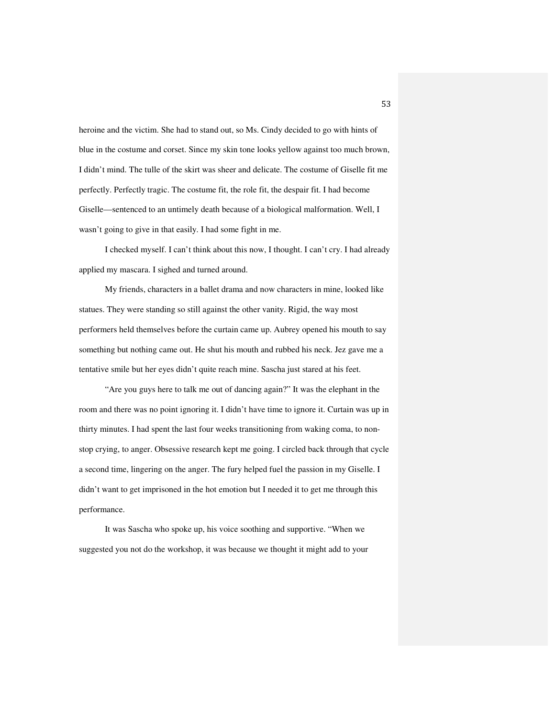heroine and the victim. She had to stand out, so Ms. Cindy decided to go with hints of blue in the costume and corset. Since my skin tone looks yellow against too much brown, I didn't mind. The tulle of the skirt was sheer and delicate. The costume of Giselle fit me perfectly. Perfectly tragic. The costume fit, the role fit, the despair fit. I had become Giselle—sentenced to an untimely death because of a biological malformation. Well, I wasn't going to give in that easily. I had some fight in me.

I checked myself. I can't think about this now, I thought. I can't cry. I had already applied my mascara. I sighed and turned around.

 My friends, characters in a ballet drama and now characters in mine, looked like statues. They were standing so still against the other vanity. Rigid, the way most performers held themselves before the curtain came up. Aubrey opened his mouth to say something but nothing came out. He shut his mouth and rubbed his neck. Jez gave me a tentative smile but her eyes didn't quite reach mine. Sascha just stared at his feet.

 "Are you guys here to talk me out of dancing again?" It was the elephant in the room and there was no point ignoring it. I didn't have time to ignore it. Curtain was up in thirty minutes. I had spent the last four weeks transitioning from waking coma, to nonstop crying, to anger. Obsessive research kept me going. I circled back through that cycle a second time, lingering on the anger. The fury helped fuel the passion in my Giselle. I didn't want to get imprisoned in the hot emotion but I needed it to get me through this performance.

 It was Sascha who spoke up, his voice soothing and supportive. "When we suggested you not do the workshop, it was because we thought it might add to your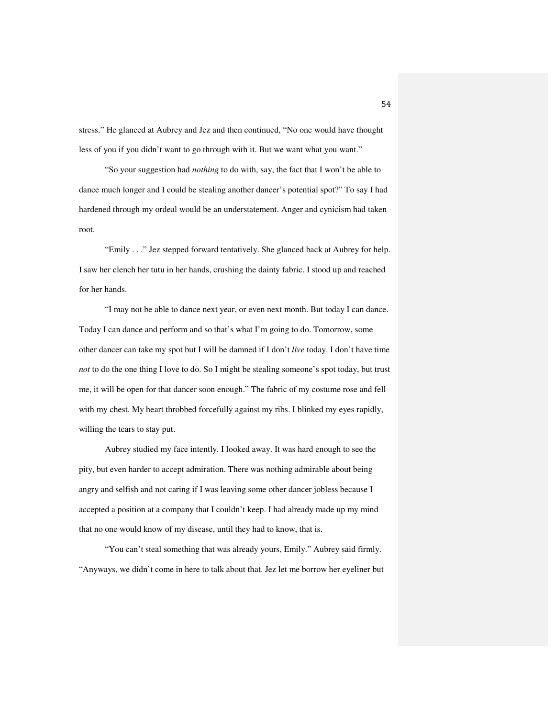stress." He glanced at Aubrey and Jez and then continued, "No one would have thought less of you if you didn't want to go through with it. But we want what you want."

 "So your suggestion had *nothing* to do with, say, the fact that I won't be able to dance much longer and I could be stealing another dancer's potential spot?" To say I had hardened through my ordeal would be an understatement. Anger and cynicism had taken root.

 "Emily . . ." Jez stepped forward tentatively. She glanced back at Aubrey for help. I saw her clench her tutu in her hands, crushing the dainty fabric. I stood up and reached for her hands.

 "I may not be able to dance next year, or even next month. But today I can dance. Today I can dance and perform and so that's what I'm going to do. Tomorrow, some other dancer can take my spot but I will be damned if I don't *live* today. I don't have time *not* to do the one thing I love to do. So I might be stealing someone's spot today, but trust me, it will be open for that dancer soon enough." The fabric of my costume rose and fell with my chest. My heart throbbed forcefully against my ribs. I blinked my eyes rapidly, willing the tears to stay put.

 Aubrey studied my face intently. I looked away. It was hard enough to see the pity, but even harder to accept admiration. There was nothing admirable about being angry and selfish and not caring if I was leaving some other dancer jobless because I accepted a position at a company that I couldn't keep. I had already made up my mind that no one would know of my disease, until they had to know, that is.

"You can't steal something that was already yours, Emily." Aubrey said firmly. "Anyways, we didn't come in here to talk about that. Jez let me borrow her eyeliner but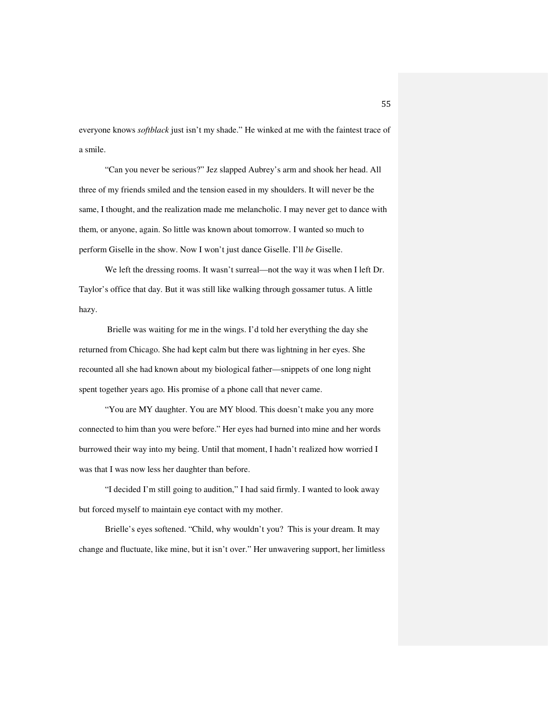everyone knows *softblack* just isn't my shade." He winked at me with the faintest trace of a smile.

 "Can you never be serious?" Jez slapped Aubrey's arm and shook her head. All three of my friends smiled and the tension eased in my shoulders. It will never be the same, I thought, and the realization made me melancholic. I may never get to dance with them, or anyone, again. So little was known about tomorrow. I wanted so much to perform Giselle in the show. Now I won't just dance Giselle. I'll *be* Giselle.

 We left the dressing rooms. It wasn't surreal—not the way it was when I left Dr. Taylor's office that day. But it was still like walking through gossamer tutus. A little hazy.

 Brielle was waiting for me in the wings. I'd told her everything the day she returned from Chicago. She had kept calm but there was lightning in her eyes. She recounted all she had known about my biological father—snippets of one long night spent together years ago. His promise of a phone call that never came.

"You are MY daughter. You are MY blood. This doesn't make you any more connected to him than you were before." Her eyes had burned into mine and her words burrowed their way into my being. Until that moment, I hadn't realized how worried I was that I was now less her daughter than before.

"I decided I'm still going to audition," I had said firmly. I wanted to look away but forced myself to maintain eye contact with my mother.

Brielle's eyes softened. "Child, why wouldn't you? This is your dream. It may change and fluctuate, like mine, but it isn't over." Her unwavering support, her limitless